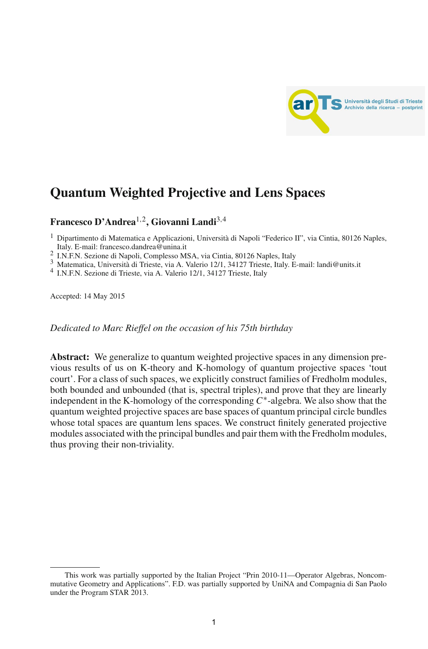

# **Quantum Weighted Projective and Lens Spaces**

# **Francesco D'Andrea**1,2**, Giovanni Landi**3,<sup>4</sup>

<sup>1</sup> Dipartimento di Matematica e Applicazioni, Università di Napoli "Federico II", via Cintia, 80126 Naples, Italy. E-mail: francesco.dandrea@unina.it

- 
- 2 I.N.F.N. Sezione di Napoli, Complesso MSA, via Cintia, 80126 Naples, Italy<br>
<sup>2</sup> I.N.F.N. Sezione di Napoli, Complesso MSA, via Cintia, 80126 Naples, Italy<br>
<sup>3</sup> Matematica, Università di Trieste, via A. Valerio 12/1, 3412
- 

Accepted: 14 May 2015

*Dedicated to Marc Rieffel on the occasion of his 75th birthday*

**Abstract:** We generalize to quantum weighted projective spaces in any dimension previous results of us on K-theory and K-homology of quantum projective spaces 'tout court'. For a class of such spaces, we explicitly construct families of Fredholm modules, both bounded and unbounded (that is, spectral triples), and prove that they are linearly independent in the K-homology of the corresponding *C*∗-algebra. We also show that the quantum weighted projective spaces are base spaces of quantum principal circle bundles whose total spaces are quantum lens spaces. We construct finitely generated projective modules associated with the principal bundles and pair them with the Fredholm modules, [thus proving their](#page-1-0) non-triviality.

This work was partially supported by the Italian Project "Prin 2010-11—Operator Algebras, Noncommutative Geometry and Applications". F.D. was partially supported by UniNA and Compagnia di San Paolo under the Program STAR 2013.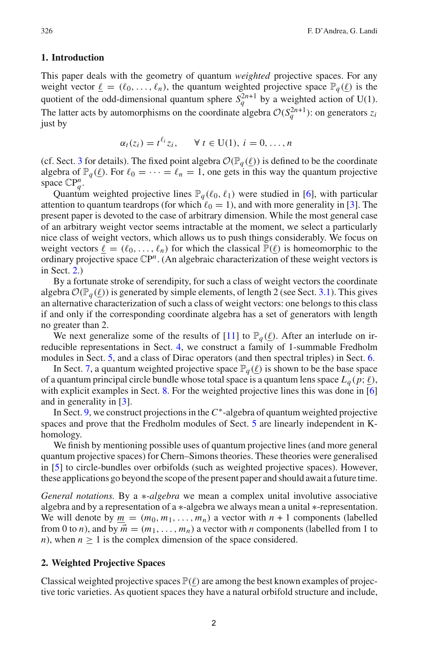### <span id="page-1-0"></span>**1. Introduction**

This paper deals with the geometry of quantum *weighted* projective spaces. For any weight vector  $\underline{\ell} = (\ell_0, \ldots, \ell_n)$ , the quantum weighted projective space  $\mathbb{P}_q(\underline{\ell})$  is the quotient of the odd-dimensional quantum sphere  $S_q^{2n+1}$  by a weighted action of U(1). The latter acts by automorphisms on the coordinate algebra  $\mathcal{O}(S_q^{2n+1})$ : on generators  $z_i$ just by

$$
\alpha_t(z_i) = t^{\ell_i} z_i, \qquad \forall \ t \in \mathcal{U}(1), \ i = 0, \dots, n
$$

(cf. Sect. [3](#page-4-0) for details). The fixed point algebra  $\mathcal{O}(\mathbb{P}_q(\underline{\ell}))$  is defined to be the coordinate algebra of  $\mathbb{P}_q(\underline{\ell})$ . For  $\ell_0 = \cdots = \ell_n = 1$ , one gets in this way the quantum projective space  $\mathbb{C}P_q^n$ .

Quantum weighted projective lines  $\mathbb{P}_q(\ell_0, \ell_1)$  were studied in [\[6](#page-27-0)], with particular attention to quantum teardrops (for which  $\ell_0 = 1$ ), and with more generality in [\[3](#page-27-1)]. The present paper is devoted to the case of arbitrary dimension. While the most general case of an arbitrary weight vector seems intractable at the moment, we select a particularly nice class of weight vectors, which allows us to push things considerably. We focus on weight vectors  $\underline{\ell} = (\ell_0, \ldots, \ell_n)$  for which the classical  $\mathbb{P}(\ell)$  is homeomorphic to the ordinary projective space  $\mathbb{C}P^n$ . (An algebraic characterization of these weight vectors is in Sect. [2.](#page-1-1))

By a fortunate stroke of serendipity, for such a class of weight vectors the coordinate algebra  $\mathcal{O}(\mathbb{P}_q(\underline{\ell}))$  is generated by simple elements, of length 2 (see Sect. [3.1\)](#page-5-0). This gives an alternative characterization of such a class of weight vectors: one belongs to this class if and only if the corresponding coordinate algebra has a set of generators with length no greater than 2.

We next generalize some of the results of [\[11](#page-27-2)] to  $\mathbb{P}_q(\underline{\ell})$ . After an interlude on irreducible representations in Sect. [4,](#page-10-0) we construct a family of 1-summable Fredholm modules in Sect. [5,](#page-11-0) and a class of Dirac operators (and then spectral triples) in Sect. [6.](#page-14-0)

In Sect. [7,](#page-16-0) a quantum weighted projective space  $\mathbb{P}_q(\ell)$  is shown to be the base space of a quantum principal circle bundle whose total space is a quantum lens space  $L_q(p; \underline{\ell})$ , with explicit examples in Sect. [8.](#page-23-0) For the weighted projective lines this was done in [\[6\]](#page-27-0) and in generality in [\[3](#page-27-1)].

In Sect. [9,](#page-24-0) we construct projections in the *C*∗-algebra of quantum weighted projective spaces and prove that the Fredholm modules of Sect. [5](#page-11-0) are linearly independent in Khomology.

We finish by mentioning possible uses of quantum projective lines (and more general quantum projective spaces) for Chern–Simons theories. These theories were generalised in [\[5](#page-27-3)] to circle-bundles over orbifolds (such as weighted projective spaces). However, these applications go beyond the scope of the present paper and should await a future time.

*General notations.* By a ∗*-algebra* we mean a complex unital involutive associative algebra and by a representation of a ∗-algebra we always mean a unital ∗-representation. We will denote by  $m = (m_0, m_1, \ldots, m_n)$  a vector with  $n + 1$  components (labelled from 0 to *n*), and by  $\vec{m} = (m_1, \ldots, m_n)$  a vector with *n* components (labelled from 1 to *n*), when  $n \geq 1$  is the complex dimension of the space considered.

#### <span id="page-1-1"></span>**2. Weighted Projective Spaces**

Classical weighted projective spaces  $\mathbb{P}(\ell)$  are among the best known examples of projective toric varieties. As quotient spaces they have a natural orbifold structure and include,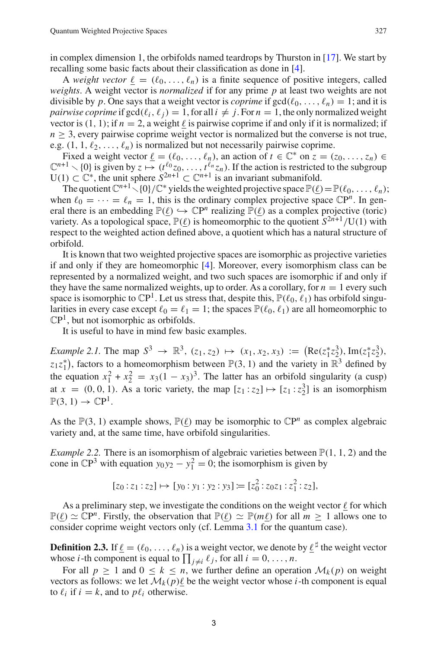in complex dimension 1, the orbifolds named teardrops by Thurston in [\[17\]](#page-28-0). We start by recalling some basic facts about their classification as done in [\[4\]](#page-27-4).

A *weight vector*  $\underline{\ell} = (\ell_0, \ldots, \ell_n)$  is a finite sequence of positive integers, called *weights*. A weight vector is *normalized* if for any prime *p* at least two weights are not divisible by *p*. One says that a weight vector is *coprime* if  $gcd(\ell_0, ..., \ell_n) = 1$ ; and it is *pairwise coprime* if  $gcd(\ell_i, \ell_j) = 1$ , for all  $i \neq j$ . For  $n = 1$ , the only normalized weight vector is (1, 1); if  $n = 2$ , a weight  $\ell$  is pairwise coprime if and only if it is normalized; if  $n \geq 3$ , every pairwise coprime weight vector is normalized but the converse is not true, e.g.  $(1, 1, \ell_2, \ldots, \ell_n)$  is normalized but not necessarily pairwise coprime.

Fixed a weight vector  $\underline{\ell} = (\ell_0, \ldots, \ell_n)$ , an action of  $t \in \mathbb{C}^*$  on  $z = (z_0, \ldots, z_n) \in$  $\mathbb{C}^{n+1} \setminus \{0\}$  is given by  $z \mapsto (t^{\ell_0}z_0, \ldots, t^{\ell_n}z_n)$ . If the action is restricted to the subgroup U(1) ⊂  $\mathbb{C}^*$ , the unit sphere  $S^{2n+1}$  ⊂  $\mathbb{C}^{n+1}$  is an invariant submanifold.

The quotient  $\mathbb{C}^{n+1}\setminus\{0\}/\mathbb{C}^*$  yields the weighted projective space  $\mathbb{P}(\ell) = \mathbb{P}(\ell_0, \ldots, \ell_n);$ when  $\ell_0 = \cdots = \ell_n = 1$ , this is the ordinary complex projective space  $\mathbb{C}P^n$ . In general there is an embedding  $\mathbb{P}(\ell) \hookrightarrow \mathbb{C}P^n$  realizing  $\mathbb{P}(\ell)$  as a complex projective (toric) variety. As a topological space,  $\mathbb{P}(\ell)$  is homeomorphic to the quotient  $S^{2n+1}/U(1)$  with respect to the weighted action defined above, a quotient which has a natural structure of orbifold.

It is known that two weighted projective spaces are isomorphic as projective varieties if and only if they are homeomorphic [\[4](#page-27-4)]. Moreover, every isomorphism class can be represented by a normalized weight, and two such spaces are isomorphic if and only if they have the same normalized weights, up to order. As a corollary, for  $n = 1$  every such space is isomorphic to  $\mathbb{C}P^1$ . Let us stress that, despite this,  $\mathbb{P}(\ell_0, \ell_1)$  has orbifold singularities in every case except  $\ell_0 = \ell_1 = 1$ ; the spaces  $\mathbb{P}(\ell_0, \ell_1)$  are all homeomorphic to  $\mathbb{C}P^1$ , but not isomorphic as orbifolds.

It is useful to have in mind few basic examples.

*Example 2.1.* The map  $S^3 \to \mathbb{R}^3$ ,  $(z_1, z_2) \mapsto (x_1, x_2, x_3) := (\text{Re}(z_1^* z_2^3), \text{Im}(z_1^* z_2^3),$  $z_1 z_1^*$ ), factors to a homeomorphism between  $\mathbb{P}(3, 1)$  and the variety in  $\mathbb{R}^3$  defined by the equation  $x_1^2 + x_2^2 = x_3(1 - x_3)^3$ . The latter has an orbifold singularity (a cusp) at  $x = (0, 0, 1)$ . As a toric variety, the map  $[z_1 : z_2] \mapsto [z_1 : z_2^3]$  is an isomorphism  $\mathbb{P}(3, 1) \rightarrow \mathbb{C}P^1$ .

As the  $\mathbb{P}(3, 1)$  example shows,  $\mathbb{P}(\ell)$  may be isomorphic to  $\mathbb{C}P^n$  as complex algebraic variety and, at the same time, have orbifold singularities.

*Example 2.2.* There is an isomorphism of algebraic varieties between  $\mathbb{P}(1, 1, 2)$  and the cone in  $\mathbb{C}P^3$  with equation  $y_0 y_2 - y_1^2 = 0$ ; the isomorphism is given by

$$
[z_0:z_1:z_2] \mapsto [y_0:y_1:y_2:y_3] \coloneqq [z_0^2:z_0z_1:z_1^2:z_2],
$$

As a preliminary step, we investigate the conditions on the weight vector  $\underline{\ell}$  for which  $\mathbb{P}(\ell) \simeq \mathbb{C}P^n$ . Firstly, the observation that  $\mathbb{P}(\ell) \simeq \mathbb{P}(m\ell)$  for all  $m \ge 1$  allows one to consider coprime weight vectors only (cf. Lemma [3.1](#page-4-1) for the quantum case).

**Definition 2.3.** If  $\underline{\ell} = (\ell_0, \ldots, \ell_n)$  is a weight vector, we denote by  $\underline{\ell}^{\sharp}$  the weight vector whose *i*-th component is equal to  $\prod_{j\neq i} \ell_j$ , for all  $i = 0, ..., n$ .

For all  $p \ge 1$  and  $0 \le k \le n$ , we further define an operation  $\mathcal{M}_k(p)$  on weight vectors as follows: we let  $\mathcal{M}_k(p)\underline{\ell}$  be the weight vector whose *i*-th component is equal to  $\ell_i$  if  $i = k$ , and to  $p\ell_i$  otherwise.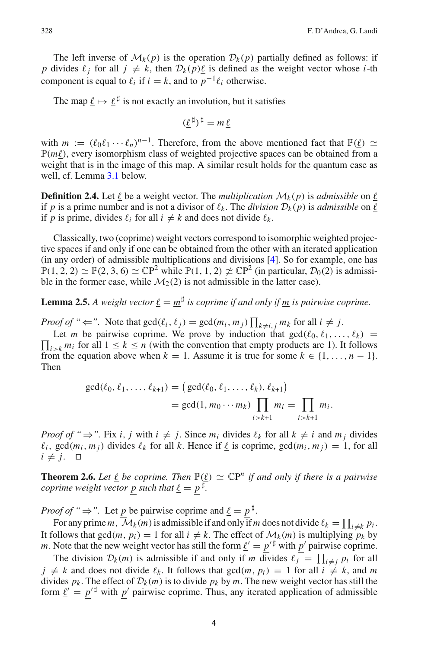The left inverse of  $\mathcal{M}_{k}(p)$  is the operation  $\mathcal{D}_{k}(p)$  partially defined as follows: if *p* divides  $\ell_j$  for all  $j \neq k$ , then  $\mathcal{D}_k(p)\underline{\ell}$  is defined as the weight vector whose *i*-th component is equal to  $\ell_i$  if  $i = k$ , and to  $p^{-1}\ell_i$  otherwise.

The map  $\underline{\ell} \mapsto \underline{\ell}^{\sharp}$  is not exactly an involution, but it satisfies

$$
(\underline{\ell}^{\,\sharp})^{\,\sharp} = m \,\underline{\ell}
$$

with  $m := (\ell_0 \ell_1 \cdots \ell_n)^{n-1}$ . Therefore, from the above mentioned fact that  $\mathbb{P}(\underline{\ell}) \simeq$  $\mathbb{P}(m\underline{\ell})$ , every isomorphism class of weighted projective spaces can be obtained from a weight that is in the image of this map. A similar result holds for the quantum case as well, cf. Lemma [3.1](#page-4-1) below.

**Definition 2.4.** Let  $\underline{\ell}$  be a weight vector. The *multiplication*  $M_k(p)$  is *admissible* on  $\underline{\ell}$ if *p* is a prime number and is not a divisor of  $\ell_k$ . The *division*  $\mathcal{D}_k(p)$  is *admissible* on  $\underline{\ell}$ if *p* is prime, divides  $\ell_i$  for all  $i \neq k$  and does not divide  $\ell_k$ .

Classically, two (coprime) weight vectors correspond to isomorphic weighted projective spaces if and only if one can be obtained from the other with an iterated application (in any order) of admissible multiplications and divisions [\[4\]](#page-27-4). So for example, one has  $\mathbb{P}(1, 2, 2) \simeq \mathbb{P}(2, 3, 6) \simeq \mathbb{C}P^2$  while  $\mathbb{P}(1, 1, 2) \not\cong \mathbb{C}P^2$  (in particular,  $\mathcal{D}_0(2)$  is admissible in the former case, while  $\mathcal{M}_2(2)$  is not admissible in the latter case).

**Lemma 2.5.** *A weight vector*  $\underline{\ell} = \underline{m}^{\sharp}$  *is coprime if and only if* <u>*m*</u> *is pairwise coprime.* 

*Proof of* " $\Leftarrow$ ". Note that  $gcd(\ell_i, \ell_j) = gcd(m_i, m_j) \prod_{k \neq i, j} m_k$  for all  $i \neq j$ .

 $\prod_{i>k} m_i$  for all  $1 \leq k \leq n$  (with the convention that empty products are 1). It follows Let  $\underline{m}$  be pairwise coprime. We prove by induction that  $gcd(\ell_0, \ell_1, \ldots, \ell_k)$ from the equation above when  $k = 1$ . Assume it is true for some  $k \in \{1, \ldots, n-1\}$ . Then

$$
\gcd(\ell_0, \ell_1, \ldots, \ell_{k+1}) = (\gcd(\ell_0, \ell_1, \ldots, \ell_k), \ell_{k+1})
$$
  
= 
$$
\gcd(1, m_0 \cdots m_k) \prod_{i > k+1} m_i = \prod_{i > k+1} m_i.
$$

*Proof of "*  $\Rightarrow$ ". Fix *i*, *j* with  $i \neq j$ . Since  $m_i$  divides  $\ell_k$  for all  $k \neq i$  and  $m_j$  divides  $\ell_i$ , gcd $(m_i, m_j)$  divides  $\ell_k$  for all  $k$ . Hence if  $\underline{\ell}$  is coprime, gcd $(m_i, m_j) = 1$ , for all  $i \neq j$ .  $\Box$ 

<span id="page-3-0"></span>**Theorem 2.6.** Let  $\underline{\ell}$  be coprime. Then  $\mathbb{P}(\underline{\ell}) \simeq \mathbb{C}P^n$  if and only if there is a pairwise *coprime weight vector*  $\underline{p}$  *such that*  $\underline{\ell} = \underline{p}^{\sharp}$ .

*Proof of* " $\Rightarrow$ ". Let <u>*p*</u> be pairwise coprime and <u> $\ell = p^{\sharp}$ </u>.

For any prime *m*,  $M_k(m)$  is admissible if and only if *m* does not divide  $\ell_k = \prod_{i \neq k} p_i$ . It follows that  $gcd(m, p_i) = 1$  for all  $i \neq k$ . The effect of  $\mathcal{M}_k(m)$  is multiplying  $p_k$  by *m*. Note that the new weight vector has still the form  $\underline{\ell}' = \underline{p}'^{\sharp}$  with  $\underline{p}'$  pairwise coprime.

The division  $\mathcal{D}_k(m)$  is admissible if and only if *m* divides  $\ell_j = \prod_{i \neq j} p_i$  for all  $j \neq k$  and does not divide  $\ell_k$ . It follows that  $gcd(m, p_i) = 1$  for all  $i \neq k$ , and *m* divides  $p_k$ . The effect of  $\mathcal{D}_k(m)$  is to divide  $p_k$  by *m*. The new weight vector has still the form  $\underline{\ell}' = \underline{p}'^{\sharp}$  with  $\underline{p}'$  pairwise coprime. Thus, any iterated application of admissible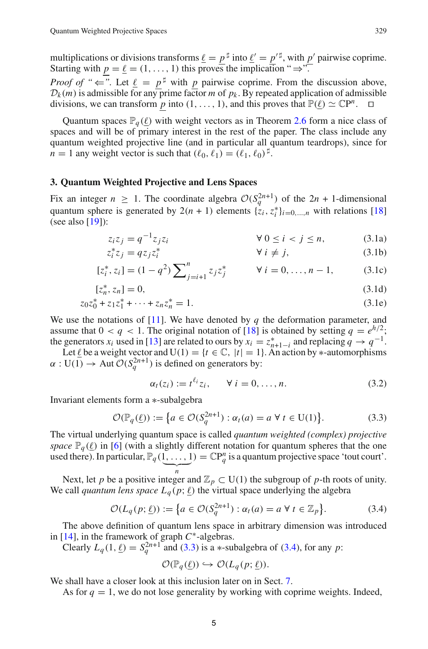multiplications or divisions transforms  $\underline{\ell} = \underline{p}^{\sharp}$  into  $\underline{\ell}' = \underline{p}'^{\sharp}$ , with  $\underline{p}'$  pairwise coprime. Starting with  $\underline{p} = \underline{\ell} = (1, \ldots, 1)$  this proves the implication " $\Rightarrow$ ".

*Proof of* " $\Leftarrow$ ". Let  $\underline{\ell} = \underline{p}^{\sharp}$  with  $\underline{p}$  pairwise coprime. From the discussion above,  $\mathcal{D}_k(m)$  is admissible for any prime factor *m* of  $p_k$ . By repeated application of admissible divisions, we can transform  $\underline{p}$  into  $(1, \ldots, 1)$ , and this proves that  $\mathbb{P}(\underline{\ell}) \simeq \mathbb{C}P^n$ .  $\square$ 

Quantum spaces  $\mathbb{P}_q(\underline{\ell})$  with weight vectors as in Theorem [2.6](#page-3-0) form a nice class of spaces and will be of primary interest in the rest of the paper. The class include any quantum weighted projective line (and in particular all quantum teardrops), since for  $n = 1$  any weight vector is such that  $(\ell_0, \ell_1) = (\ell_1, \ell_0)^{\sharp}$ .

## <span id="page-4-0"></span>**3. Quantum Weighted Projective and Lens Spaces**

<span id="page-4-5"></span>Fix an integer  $n \geq 1$ . The coordinate algebra  $\mathcal{O}(S_q^{2n+1})$  of the  $2n + 1$ -dimensional quantum sphere is generated by  $2(n + 1)$  elements  $\{z_i, z_i^*\}_{i=0,\dots,n}$  with relations [\[18\]](#page-28-1) (see also  $[19]$ ):

<span id="page-4-6"></span>
$$
z_i z_j = q^{-1} z_j z_i \qquad \forall \ 0 \le i < j \le n,\tag{3.1a}
$$

$$
z_i^* z_j = q z_j z_i^* \qquad \qquad \forall \ i \neq j,
$$
 (3.1b)

$$
[z_i^*, z_i] = (1 - q^2) \sum_{j=i+1}^n z_j z_j^* \qquad \forall i = 0, ..., n-1,
$$
 (3.1c)

$$
[z_n^*, z_n] = 0,\t\t(3.1d)
$$

$$
z_0 z_0^* + z_1 z_1^* + \dots + z_n z_n^* = 1.
$$
 (3.1e)

We use the notations of [\[11](#page-27-2)]. We have denoted by  $q$  the deformation parameter, and assume that  $0 < q < 1$ . The original notation of [\[18](#page-28-1)] is obtained by setting  $q = e^{h/2}$ ; the generators  $x_i$  used in [\[13\]](#page-27-5) are related to ours by  $x_i = z_{n+1-i}^*$  and replacing  $q \to q^{-1}$ .

Let  $\underline{\ell}$  be a weight vector and U(1) = { $t \in \mathbb{C}$ ,  $|t| = 1$ }. An action by  $*$ -automorphisms  $\alpha$ : U(1)  $\rightarrow$  Aut  $\mathcal{O}(S_q^{2n+1})$  is defined on generators by:

<span id="page-4-8"></span><span id="page-4-7"></span><span id="page-4-4"></span><span id="page-4-2"></span>
$$
\alpha_t(z_i) := t^{\ell_i} z_i, \qquad \forall \ i = 0, \dots, n. \tag{3.2}
$$

Invariant elements form a ∗-subalgebra

$$
\mathcal{O}(\mathbb{P}_q(\underline{\ell})) := \left\{ a \in \mathcal{O}(S_q^{2n+1}) : \alpha_t(a) = a \,\,\forall \,\, t \in \mathrm{U}(1) \right\}. \tag{3.3}
$$

The virtual underlying quantum space is called *quantum weighted (complex) projective space*  $\mathbb{P}_q(\ell)$  in [\[6](#page-27-0)] (with a slightly different notation for quantum spheres that the one used there). In particular,  $\mathbb{P}_q(\underbrace{1,\ldots,1}_{\ldots}) = \mathbb{C}P_q^n$  is a quantum projective space 'tout court'.  $\overline{1}$  *<sup>n</sup>*

Next, let *p* be a positive integer and  $\mathbb{Z}_p \subset U(1)$  the subgroup of *p*-th roots of unity. We call *quantum lens space*  $L_q(p; \underline{\ell})$  the virtual space underlying the algebra

$$
\mathcal{O}(L_q(p; \underline{\ell})) := \{ a \in \mathcal{O}(S_q^{2n+1}) : \alpha_t(a) = a \,\,\forall \,\, t \in \mathbb{Z}_p \}. \tag{3.4}
$$

The above definition of quantum lens space in arbitrary dimension was introduced in [\[14](#page-27-6)], in the framework of graph *C*∗-algebras.

Clearly  $L_q(1, \underline{\ell}) = S_q^{2n+1}$  and [\(3.3\)](#page-4-2) is a  $\ast$ -subalgebra of [\(3.4\)](#page-4-3), for any *p*:

<span id="page-4-3"></span>
$$
\mathcal{O}(\mathbb{P}_q(\underline{\ell})) \hookrightarrow \mathcal{O}(L_q(p; \underline{\ell})).
$$

<span id="page-4-1"></span>We shall have a closer look at this inclusion later on in Sect. [7.](#page-16-0)

As for  $q = 1$ , we do not lose generality by working with coprime weights. Indeed,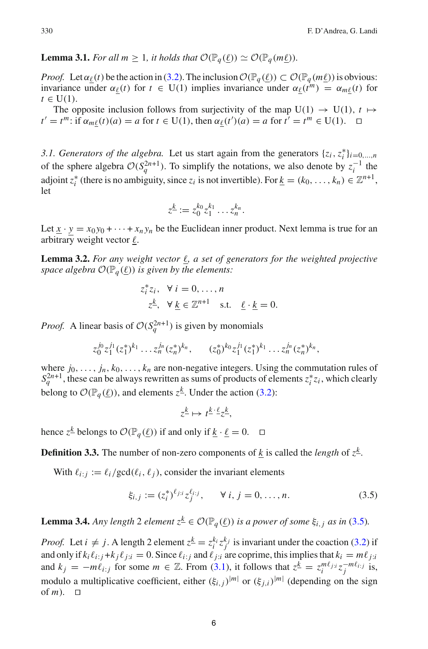**Lemma 3.1.** *For all*  $m \geq 1$ *, it holds that*  $\mathcal{O}(\mathbb{P}_q(\underline{\ell})) \simeq \mathcal{O}(\mathbb{P}_q(m\underline{\ell})).$ 

*Proof.* Let  $\alpha_{\underline{\ell}}(t)$  be the action in [\(3.2\)](#page-4-4). The inclusion  $\mathcal{O}(\mathbb{P}_q(\underline{\ell})) \subset \mathcal{O}(\mathbb{P}_q(m\underline{\ell}))$  is obvious: invariance under  $\alpha_{\underline{\ell}}(t)$  for  $t \in U(1)$  implies invariance under  $\alpha_{\underline{\ell}}(t^m) = \alpha_{m\underline{\ell}}(t)$  for  $t \in U(1)$ .

The opposite inclusion follows from surjectivity of the map  $U(1) \rightarrow U(1)$ ,  $t \mapsto$  $t' = t^m$ : if  $\alpha_{m\underline{\ell}}(t)(a) = a$  for  $t \in U(1)$ , then  $\alpha_{\underline{\ell}}(t')(a) = a$  for  $t' = t^m \in U(1)$ .  $\Box$ 

<span id="page-5-0"></span>*3.1. Generators of the algebra.* Let us start again from the generators  $\{z_i, z_i^*\}_{i=0,\dots,n}$ of the sphere algebra  $O(S_q^{2n+1})$ . To simplify the notations, we also denote by  $z_i^{-1}$  the adjoint  $z_i^*$  (there is no ambiguity, since  $z_i$  is not invertible). For  $\underline{k} = (k_0, \ldots, k_n) \in \mathbb{Z}^{n+1}$ , let

$$
z^{\underline{k}} := z_0^{k_0} z_1^{k_1} \dots z_n^{k_n}.
$$

<span id="page-5-2"></span>Let  $\underline{x} \cdot y = x_0 y_0 + \cdots + x_n y_n$  be the Euclidean inner product. Next lemma is true for an arbitrary weight vector  $\underline{\ell}$ .

**Lemma 3.2.** For any weight vector  $\underline{\ell}$ , a set of generators for the weighted projective *space algebra*  $\mathcal{O}(\mathbb{P}_q(\underline{\ell}))$  *is given by the elements:* 

$$
z_i^* z_i, \quad \forall \ i = 0, \dots, n
$$
  

$$
z^{\underline{k}}, \quad \forall \ \underline{k} \in \mathbb{Z}^{n+1} \quad \text{s.t.} \quad \underline{\ell} \cdot \underline{k} = 0.
$$

*Proof.* A linear basis of  $O(S_q^{2n+1})$  is given by monomials

$$
z_0^{j_0} z_1^{j_1} (z_1^*)^{k_1} \dots z_n^{j_n} (z_n^*)^{k_n}, \qquad (z_0^*)^{k_0} z_1^{j_1} (z_1^*)^{k_1} \dots z_n^{j_n} (z_n^*)^{k_n},
$$

where  $j_0, \ldots, j_n, k_0, \ldots, k_n$  are non-negative integers. Using the commutation rules of  $S_q^{2n+1}$ , these can be always rewritten as sums of products of elements  $z_i^* z_i$ , which clearly belong to  $\mathcal{O}(\mathbb{P}_q(\underline{\ell}))$ , and elements  $z^{\underline{k}}$ . Under the action [\(3.2\)](#page-4-4):

<span id="page-5-1"></span>
$$
z^{\underline{k}} \mapsto t^{\underline{k}\cdot \underline{\ell}} z^{\underline{k}},
$$

hence  $z^{\underline{k}}$  belongs to  $\mathcal{O}(\mathbb{P}_q(\underline{\ell}))$  if and only if  $\underline{k} \cdot \underline{\ell} = 0$ .  $\square$ 

**Definition 3.3.** The number of non-zero components of *k* is called the *length* of  $z^{\underline{k}}$ .

With  $\ell_{i:j} := \ell_i / \gcd(\ell_i, \ell_j)$ , consider the invariant elements

$$
\xi_{i,j} := (z_i^*)^{\ell_{j,i}} z_j^{\ell_{i,j}}, \qquad \forall \ i, j = 0, \dots, n. \tag{3.5}
$$

**Lemma 3.4.** *Any length* 2 *element*  $z^{\underline{k}} \in \mathcal{O}(\mathbb{P}_q(\underline{\ell}))$  *is a power of some*  $\xi_{i,j}$  *as in* [\(3.5\)](#page-5-1)*.* 

*Proof.* Let  $i \neq j$ . A length 2 element  $z^{\underline{k}} = z_i^{k_i} z_j^{k_j}$  is invariant under the coaction [\(3.2\)](#page-4-4) if and only if  $k_i \ell_{i:j} + k_j \ell_{j:i} = 0$ . Since  $\ell_{i:j}$  and  $\ell_{j:i}$  are coprime, this implies that  $k_i = m \ell_{j:i}$ and  $k_j = -m\ell_{i:j}$  for some  $m \in \mathbb{Z}$ . From [\(3.1\)](#page-4-5), it follows that  $z^{\underline{k}} = z_i^{m\ell_{j:i}} z_j^{-m\ell_{i:j}}$  is, modulo a multiplicative coefficient, either  $(\xi_{i,j})^{|m|}$  or  $(\xi_{i,j})^{|m|}$  (depending on the sign of  $m$ ).  $\Box$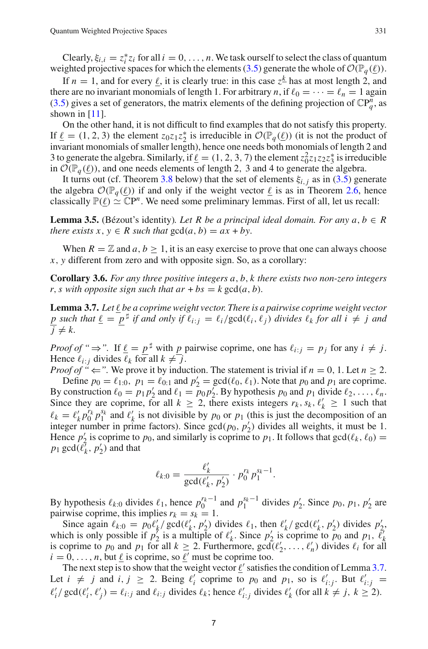Clearly,  $\xi_{i,i} = z_i^* z_i$  for all  $i = 0, \ldots, n$ . We task ourself to select the class of quantum weighted projective spaces for which the elements [\(3.5\)](#page-5-1) generate the whole of  $\mathcal{O}(\mathbb{P}_q(\underline{\ell}))$ .

If  $n = 1$ , and for every  $\underline{\ell}$ , it is clearly true: in this case  $z^{\underline{k}}$  has at most length 2, and there are no invariant monomials of length 1. For arbitrary *n*, if  $\ell_0 = \cdots = \ell_n = 1$  again [\(3.5\)](#page-5-1) gives a set of generators, the matrix elements of the defining projection of  $\mathbb{CP}_q^n$ , as shown in [\[11](#page-27-2)].

On the other hand, it is not difficult to find examples that do not satisfy this property. If  $\underline{\ell} = (1, 2, 3)$  the element  $z_0 z_1 z_2^*$  is irreducible in  $\mathcal{O}(\mathbb{P}_q(\underline{\ell}))$  (it is not the product of invariant monomials of smaller length), hence one needs both monomials of length 2 and 3 to generate the algebra. Similarly, if  $\underline{\ell} = (1, 2, 3, 7)$  the element  $z_0^2 z_1 z_2 z_3^*$  is irreducible in  $\mathcal{O}(\mathbb{P}_q(\underline{\ell}))$ , and one needs elements of length 2, 3 and 4 to generate the algebra.

It turns out (cf. Theorem [3.8](#page-7-0) below) that the set of elements  $\xi_{i,j}$  as in [\(3.5\)](#page-5-1) generate the algebra  $O(\mathbb{P}_q(\underline{\ell}))$  if and only if the weight vector  $\underline{\ell}$  is as in Theorem [2.6,](#page-3-0) hence classically  $\mathbb{P}(\ell) \simeq \mathbb{C}P^n$ . We need some preliminary lemmas. First of all, let us recall:

<span id="page-6-2"></span>**Lemma 3.5.** (Bézout's identity). Let R be a principal ideal domain. For any  $a, b \in R$ *there exists*  $x, y \in R$  *such that*  $gcd(a, b) = ax + by$ .

<span id="page-6-1"></span>When  $R = \mathbb{Z}$  and a,  $b > 1$ , it is an easy exercise to prove that one can always choose *x*, *y* different from zero and with opposite sign. So, as a corollary:

**Corollary 3.6.** *For any three positive integers a*, *b*, *k there exists two non-zero integers r*, *s* with opposite sign such that  $ar + bs = k \gcd(a, b)$ .

<span id="page-6-0"></span> ${\bf Lemma}$   ${\bf 3.7.}$  Let  $\underline{\ell}$  be a coprime weight vector. There is a pairwise coprime weight vector  $p$  *such that*  $\underline{\ell} = \underline{p}^{\sharp}$  *if and only if*  $\ell_{i:j} = \ell_i/\text{gcd}(\ell_i, \ell_j)$  *divides*  $\ell_k$  *for all*  $i \neq j$  *and*  $\overline{j} \neq k$ .

*Proof of* " $\Rightarrow$ ". If  $\underline{\ell} = \underline{p}^{\sharp}$  with  $\underline{p}$  pairwise coprime, one has  $\ell_{i:j} = p_j$  for any  $i \neq j$ . Hence  $\ell_{i:j}$  divides  $\ell_k$  for all  $k \neq j$ .

*Proof of "*  $\Leftarrow$ ". We prove it by induction. The statement is trivial if  $n = 0, 1$ . Let  $n \ge 2$ .

Define  $p_0 = \ell_{1:0}$ ,  $p_1 = \ell_{0:1}$  and  $p'_2 = \gcd(\ell_0, \ell_1)$ . Note that  $p_0$  and  $p_1$  are coprime. By construction  $\ell_0 = p_1 p_2'$  and  $\ell_1 = p_0 p_2'$ . By hypothesis  $p_0$  and  $p_1$  divide  $\ell_2, \ldots, \ell_n$ . Since they are coprime, for all  $k \ge 2$ , there exists integers  $r_k$ ,  $s_k$ ,  $\ell'_k \ge 1$  such that  $\ell_k = \ell'_k p_0^{r_k} p_1^{s_k}$  and  $\ell'_k$  is not divisible by *p*<sub>0</sub> or *p*<sub>1</sub> (this is just the decomposition of an integer number in prime factors). Since  $gcd(p_0, p'_2)$  divides all weights, it must be 1. Hence  $p'_2$  is coprime to  $p_0$ , and similarly is coprime to  $p_1$ . It follows that  $gcd(\ell_k, \ell_0)$  =  $p_1 \gcd(\ell'_k, p'_2)$  and that

$$
\ell_{k:0} = \frac{\ell'_k}{\gcd(\ell'_k, p'_2)} \cdot p_0^{r_k} p_1^{s_k - 1}.
$$

By hypothesis  $\ell_{k:0}$  divides  $\ell_1$ , hence  $p_0^{r_k-1}$  and  $p_1^{s_k-1}$  divides  $p_2'$ . Since  $p_0, p_1, p_2'$  are pairwise coprime, this implies  $r_k = s_k = 1$ .

Since again  $\ell_{k:0} = p_0 \ell'_k / \gcd(\ell'_k, p'_2)$  divides  $\ell_1$ , then  $\ell'_k / \gcd(\ell'_k, p'_2)$  divides  $p'_2$ , which is only possible if  $p'_2$  is a multiple of  $\ell'_k$ . Since  $p'_2$  is coprime to  $p_0$  and  $p_1$ ,  $\ell'_k$ is coprime to  $p_0$  and  $p_1$  for all  $k \geq 2$ . Furthermore,  $gcd(\ell'_2, \ldots, \ell'_n)$  divides  $\ell_i$  for all  $i = 0, \ldots, n$ , but <u> $\ell$ </u> is coprime, so  $\ell'$  must be coprime too.

The next step is to show that the weight vector  $\underline{\ell}'$  satisfies the condition of Lemma [3.7.](#page-6-0) Let  $i \neq j$  and  $i, j \geq 2$ . Being  $\ell'_i$  coprime to  $p_0$  and  $p_1$ , so is  $\ell'_{i,j}$ . But  $\ell'_{i,j}$  $\ell'_i$  /  $gcd(\ell'_i, \ell'_j) = \ell_{i:j}$  and  $\ell_{i:j}$  divides  $\ell_k$ ; hence  $\ell'_{i:j}$  divides  $\ell'_k$  (for all  $k \neq j, k \geq 2$ ).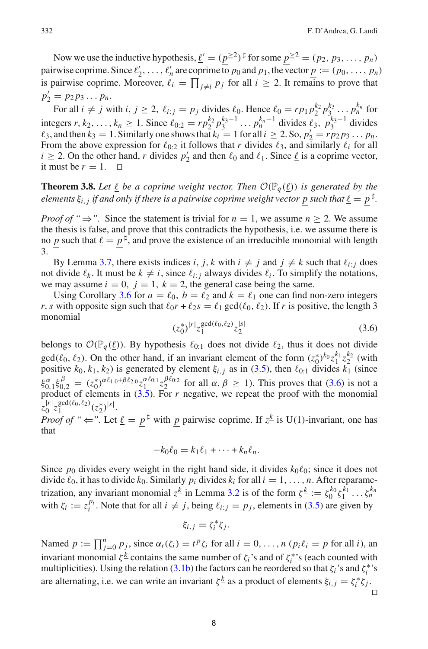Now we use the inductive hypothesis,  $\underline{\ell}' = (\underline{p}^{\geq 2})^{\sharp}$  for some  $\underline{p}^{\geq 2} = (p_2, p_3, \dots, p_n)$ pairwise coprime. Since  $\ell'_2, \ldots, \ell'_n$  are coprime to  $p_0$  and  $p_1$ , the vector  $\underline{p} := (p_0, \ldots, p_n)$ is pairwise coprime. Moreover,  $\ell_i = \prod_{j \neq i} p_j$  for all  $i \geq 2$ . It remains to prove that  $p'_2 = p_2 p_3 \dots p_n.$ 

For all  $i \neq j$  with  $i, j \geq 2$ ,  $\ell_{i,j} = p_j$  divides  $\ell_0$ . Hence  $\ell_0 = rp_1 p_2^{k_2} p_3^{k_3} \dots p_n^{k_n}$  for integers *r*, *k*<sub>2</sub>,..., *k<sub>n</sub>* ≥ 1. Since  $\ell_{0.2} = rp_2^{k_2}p_3^{k_3-1}$ ...  $p_n^{k_n-1}$  divides  $\ell_3$ ,  $p_3^{k_3-1}$  divides  $\ell_3$ , and then  $k_3 = 1$ . Similarly one shows that  $k_i = 1$  for all  $i \ge 2$ . So,  $p'_2 = rp_2p_3 \dots p_n$ . From the above expression for  $\ell_{0.2}$  it follows that *r* divides  $\ell_3$ , and similarly  $\ell_i$  for all  $i \ge 2$ . On the other hand, *r* divides  $p'_2$  and then  $\ell_0$  and  $\ell_1$ . Since  $\underline{\ell}$  is a coprime vector, it must be  $r = 1$ .  $\Box$ 

<span id="page-7-0"></span>**Theorem 3.8.** Let  $\underline{\ell}$  be a coprime weight vector. Then  $\mathcal{O}(\mathbb{P}_q(\underline{\ell}))$  is generated by the  $e$ lements  $\xi_{i,j}$  *if and only if there is a pairwise coprime weight vector*  $\underline{p}$  *such that*  $\underline{\ell} = \underline{p}^{\,\sharp}.$ 

*Proof of "* $\Rightarrow$ ". Since the statement is trivial for *n* = 1, we assume *n* > 2. We assume the thesis is false, and prove that this contradicts the hypothesis, i.e. we assume there is no *p* such that  $\underline{\ell} = p^{\sharp}$ , and prove the existence of an irreducible monomial with length 3.

By Lemma [3.7,](#page-6-0) there exists indices *i*, *j*, *k* with  $i \neq j$  and  $j \neq k$  such that  $\ell_{i,j}$  does not divide  $\ell_k$ . It must be  $k \neq i$ , since  $\ell_{i,j}$  always divides  $\ell_i$ . To simplify the notations, we may assume  $i = 0$ ,  $j = 1$ ,  $k = 2$ , the general case being the same.

<span id="page-7-1"></span>Using Corollary [3.6](#page-6-1) for  $a = \ell_0$ ,  $b = \ell_2$  and  $k = \ell_1$  one can find non-zero integers *r*, *s* with opposite sign such that  $\ell_0 r + \ell_2 s = \ell_1 \gcd(\ell_0, \ell_2)$ . If *r* is positive, the length 3 monomial

$$
(z_0^*)^{|r|} z_1^{\gcd(\ell_0, \ell_2)} z_2^{|s|} \tag{3.6}
$$

belongs to  $\mathcal{O}(\mathbb{P}_q(\underline{\ell}))$ . By hypothesis  $\ell_{0:1}$  does not divide  $\ell_2$ , thus it does not divide  $gcd(\ell_0, \ell_2)$ . On the other hand, if an invariant element of the form  $(z_0^*)^{k_0} z_1^{k_1} z_2^{k_2}$  (with positive  $k_0, k_1, k_2$ ) is generated by element  $\xi_{i,j}$  as in [\(3.5\)](#page-5-1), then  $\ell_{0:1}$  divides  $k_1$  (since  $\xi_{0,1}^{\alpha} \xi_{0,2}^{\beta} = (z_0^*)^{\alpha \ell_{1:0} + \beta \ell_{2:0}} z_1^{\alpha \ell_{0:1}} z_2^{\beta \ell_{0:2}}$  for all  $\alpha, \beta \ge 1$ ). This proves that [\(3.6\)](#page-7-1) is not a product of elements in  $(3.5)$ . For *r* negative, we repeat the proof with the monomial  $z_0^{|r|} z_1^{\gcd(\ell_0,\ell_2)}(z_2^*)^{|s|}.$ 

*Proof of* "  $\Leftarrow$ ". Let  $\underline{\ell} = \underline{p}^{\sharp}$  with  $\underline{p}$  pairwise coprime. If  $z^{\underline{k}}$  is U(1)-invariant, one has that

$$
-k_0\ell_0=k_1\ell_1+\cdots+k_n\ell_n.
$$

Since  $p_0$  divides every weight in the right hand side, it divides  $k_0 \ell_0$ ; since it does not divide  $\ell_0$ , it has to divide  $k_0$ . Similarly  $p_i$  divides  $k_i$  for all  $i = 1, ..., n$ . After reparametrization, any invariant monomial  $z^{\underline{k}}$  in Lemma [3.2](#page-5-2) is of the form  $\zeta^{\underline{k}} := \zeta_0^{k_0} \zeta_1^{k_1} \dots \zeta_n^{k_n}$ with  $\zeta_i := z_i^{p_i}$ . Note that for all  $i \neq j$ , being  $\ell_{i:j} = p_j$ , elements in [\(3.5\)](#page-5-1) are given by

$$
\xi_{i,j}=\zeta_i^*\zeta_j.
$$

Named  $p := \prod_{j=0}^n p_j$ , since  $\alpha_t(\zeta_i) = t^p \zeta_i$  for all  $i = 0, \ldots, n$  ( $p_i \ell_i = p$  for all *i*), an invariant monomial  $\zeta^{\underline{k}}$  contains the same number of  $\zeta_i$ 's and of  $\zeta_i^*$ 's (each counted with multiplicities). Using the relation [\(3.1b\)](#page-4-6) the factors can be reordered so that  $\zeta_i$ 's and  $\zeta_i^*$ 's are alternating, i.e. we can write an invariant  $\zeta^{\underline{k}}$  as a product of elements  $\xi_{i,j} = \zeta_i^* \zeta_j$ .  $\Box$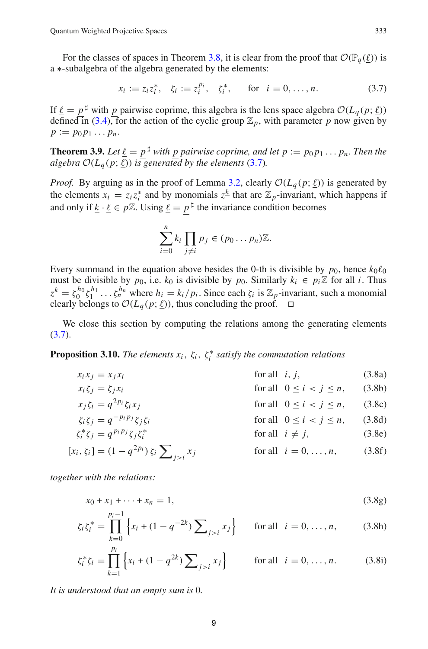For the classes of spaces in Theorem [3.8,](#page-7-0) it is clear from the proof that  $\mathcal{O}(\mathbb{P}_q(\underline{\ell}))$  is a ∗-subalgebra of the algebra generated by the elements:

<span id="page-8-0"></span>
$$
x_i := z_i z_i^*, \quad \zeta_i := z_i^{p_i}, \quad \zeta_i^*, \quad \text{for} \quad i = 0, \dots, n.
$$
 (3.7)

If  $\underline{\ell} = \underline{p}^{\sharp}$  with *p* pairwise coprime, this algebra is the lens space algebra  $\mathcal{O}(L_q(p;\underline{\ell}))$ defined in  $(3.4)$ , for the action of the cyclic group  $\mathbb{Z}_p$ , with parameter p now given by  $p := p_0 p_1 \ldots p_n$ .

<span id="page-8-9"></span>**Theorem 3.9.** Let  $\underline{\ell} = \underline{p}^{\sharp}$  with <u>*p*</u> pairwise coprime, and let  $p := p_0 p_1 \dots p_n$ . Then the *algebra*  $\mathcal{O}(L_q(p;\underline{\ell}))$  *is generated by the elements* [\(3.7\)](#page-8-0)*.* 

*Proof.* By arguing as in the proof of Lemma [3.2,](#page-5-2) clearly  $\mathcal{O}(L_q(p; \underline{\ell}))$  is generated by the elements  $x_i = z_i z_i^*$  and by monomials  $z^{\underline{k}}$  that are  $\mathbb{Z}_p$ -invariant, which happens if and only if  $\underline{k} \cdot \underline{\ell} \in p\mathbb{Z}$ . Using  $\underline{\ell} = \underline{p}^{\sharp}$  the invariance condition becomes

<span id="page-8-7"></span><span id="page-8-1"></span>
$$
\sum_{i=0}^n k_i \prod_{j\neq i} p_j \in (p_0 \dots p_n) \mathbb{Z}.
$$

Every summand in the equation above besides the 0-th is divisible by  $p_0$ , hence  $k_0 \ell_0$ must be divisible by  $p_0$ , i.e.  $k_0$  is divisible by  $p_0$ . Similarly  $k_i \in p_i \mathbb{Z}$  for all *i*. Thus  $z^{\underline{k}} = \zeta_0^{h_0} \zeta_1^{h_1} \dots \zeta_n^{h_n}$  where  $h_i = k_i / p_i$ . Since each  $\zeta_i$  is  $\mathbb{Z}_p$ -invariant, such a monomial clearly belongs to  $\mathcal{O}(L_q(p; \underline{\ell}))$ , thus concluding the proof.  $\Box$ 

<span id="page-8-8"></span>We close this section by computing the relations among the generating elements  $(3.7).$  $(3.7).$ 

**Proposition 3.10.** *The elements*  $x_i$ ,  $\zeta_i$ ,  $\zeta_i^*$  *satisfy the commutation relations* 

<span id="page-8-2"></span> $x_i x_j = x_j x_i$  for all *i*, *j*, (3.8a)

| $x_i \zeta_j = \zeta_j x_i$                         | for all $0 \le i < j \le n$ , (3.8b) |
|-----------------------------------------------------|--------------------------------------|
| $x_j \zeta_i = q^{2p_i} \zeta_i x_j$                | for all $0 \le i < j \le n$ , (3.8c) |
| $\zeta_i \zeta_j = q^{-p_i p_j} \zeta_j \zeta_i$    | for all $0 \le i < j \le n$ , (3.8d) |
| $\zeta_i^* \zeta_j = q^{p_i p_j} \zeta_j \zeta_i^*$ | for all $i \ne j$ , (3.8e)           |

$$
[x_i, \zeta_i] = (1 - q^{2p_i}) \zeta_i \sum_{j > i} x_j \quad \text{for all} \quad i = 0, ..., n,
$$
 (3.8f)

*together with the relations:*

<span id="page-8-6"></span><span id="page-8-4"></span><span id="page-8-3"></span>
$$
x_0 + x_1 + \dots + x_n = 1,\tag{3.8g}
$$

$$
\zeta_i \zeta_i^* = \prod_{k=0}^{p_i - 1} \left\{ x_i + (1 - q^{-2k}) \sum_{j > i} x_j \right\} \quad \text{for all} \quad i = 0, \dots, n, \tag{3.8h}
$$

<span id="page-8-5"></span>
$$
\zeta_i^* \zeta_i = \prod_{k=1}^{p_i} \left\{ x_i + (1 - q^{2k}) \sum_{j>i} x_j \right\} \qquad \text{for all} \ \ i = 0, \dots, n. \tag{3.8i}
$$

*It is understood that an empty sum is* 0*.*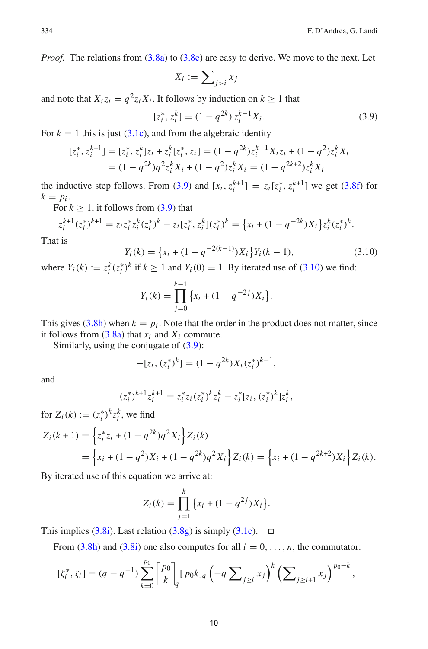*Proof.* The relations from [\(3.8a\)](#page-8-1) to [\(3.8e\)](#page-8-2) are easy to derive. We move to the next. Let

<span id="page-9-0"></span>
$$
X_i := \sum\nolimits_{j>i} x_j
$$

and note that  $X_i z_i = q^2 z_i X_i$ . It follows by induction on  $k \ge 1$  that

$$
[z_i^*, z_i^k] = (1 - q^{2k}) z_i^{k-1} X_i.
$$
 (3.9)

For  $k = 1$  this is just [\(3.1c\)](#page-4-7), and from the algebraic identity

$$
[z_i^*, z_i^{k+1}] = [z_i^*, z_i^k]z_i + z_i^k [z_i^*, z_i] = (1 - q^{2k})z_i^{k-1}X_i z_i + (1 - q^2)z_i^k X_i
$$
  
= 
$$
(1 - q^{2k})q^2 z_i^k X_i + (1 - q^2)z_i^k X_i = (1 - q^{2k+2})z_i^k X_i
$$

the inductive step follows. From [\(3.9\)](#page-9-0) and  $[x_i, z_i^{k+1}] = z_i[z_i^*, z_i^{k+1}]$  we get [\(3.8f\)](#page-8-3) for  $k = p_i$ .

For  $k \geq 1$ , it follows from [\(3.9\)](#page-9-0) that

$$
z_i^{k+1}(z_i^*)^{k+1} = z_i z_i^* z_i^k (z_i^*)^k - z_i [z_i^*, z_i^k] (z_i^*)^k = \{x_i + (1 - q^{-2k}) X_i\} z_i^k (z_i^*)^k.
$$

<span id="page-9-1"></span>That is

$$
Y_i(k) = \left\{ x_i + (1 - q^{-2(k-1)}) X_i \right\} Y_i(k-1),\tag{3.10}
$$

where  $Y_i(k) := z_i^k (z_i^*)^k$  if  $k \ge 1$  and  $Y_i(0) = 1$ . By iterated use of [\(3.10\)](#page-9-1) we find:

$$
Y_i(k) = \prod_{j=0}^{k-1} \{x_i + (1 - q^{-2j})X_i\}.
$$

This gives [\(3.8h\)](#page-8-4) when  $k = p_i$ . Note that the order in the product does not matter, since it follows from  $(3.8a)$  that  $x_i$  and  $X_i$  commute.

Similarly, using the conjugate of [\(3.9\)](#page-9-0):

$$
-[z_i, (z_i^*)^k] = (1 - q^{2k})X_i(z_i^*)^{k-1},
$$

and

$$
(z_i^*)^{k+1} z_i^{k+1} = z_i^* z_i (z_i^*)^k z_i^k - z_i^* [z_i, (z_i^*)^k] z_i^k,
$$

for  $Z_i(k) := (z_i^*)^k z_i^k$ , we find

$$
Z_i(k+1) = \left\{ z_i^* z_i + (1 - q^{2k}) q^2 X_i \right\} Z_i(k)
$$
  
= 
$$
\left\{ x_i + (1 - q^2) X_i + (1 - q^{2k}) q^2 X_i \right\} Z_i(k) = \left\{ x_i + (1 - q^{2k+2}) X_i \right\} Z_i(k).
$$

By iterated use of this equation we arrive at:

$$
Z_i(k) = \prod_{j=1}^k \{x_i + (1 - q^{2j})X_i\}.
$$

This implies  $(3.8i)$ . Last relation  $(3.8g)$  is simply  $(3.1e)$ .  $\Box$ 

From  $(3.8h)$  and  $(3.8i)$  one also computes for all  $i = 0, \ldots, n$ , the commutator:

$$
[\zeta_i^*, \zeta_i] = (q - q^{-1}) \sum_{k=0}^{p_0} \begin{bmatrix} p_0 \\ k \end{bmatrix}_q [p_0 k]_q \left( -q \sum_{j \geq i} x_j \right)^k \left( \sum_{j \geq i+1} x_j \right)^{p_0 - k},
$$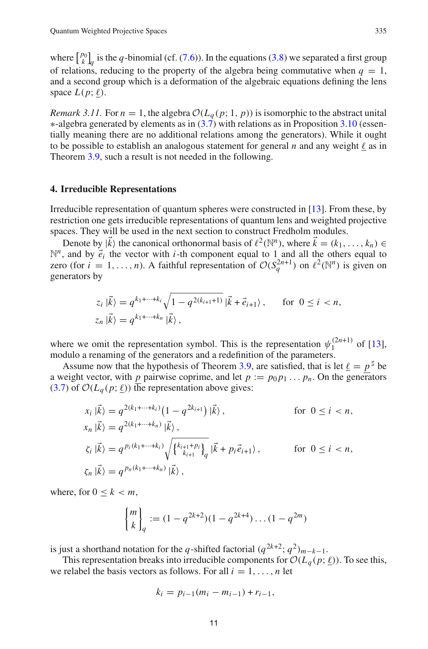where  $\begin{bmatrix} p_0 \\ k \end{bmatrix}_q$  is the *q*-binomial (cf. [\(7.6\)](#page-21-0)). In the equations [\(3.8\)](#page-8-7) we separated a first group of relations, reducing to the property of the algebra being commutative when  $q = 1$ , and a second group which is a deformation of the algebraic equations defining the lens space  $L(p; \underline{\ell})$ .

*Remark 3.11.* For  $n = 1$ , the algebra  $\mathcal{O}(L_q(p; 1, p))$  is isomorphic to the abstract unital ∗-algebra generated by elements as in [\(3.7\)](#page-8-0) with relations as in Proposition [3.10](#page-8-8) (essentially meaning there are no additional relations among the generators). While it ought to be possible to establish an analogous statement for general  $n$  and any weight  $\underline{\ell}$  as in Theorem [3.9,](#page-8-9) such a result is not needed in the following.

#### <span id="page-10-0"></span>**4. Irreducible Representations**

Irreducible representation of quantum spheres were constructed in [\[13\]](#page-27-5). From these, by restriction one gets irreducible representations of quantum lens and weighted projective spaces. They will be used in the next section to construct Fredholm modules.

Denote by  $|\vec{k}\rangle$  the canonical orthonormal basis of  $\ell^2(\mathbb{N}^n)$ , where  $\vec{k} = (k_1, \ldots, k_n) \in$  $\mathbb{N}^n$ , and by  $\vec{e}_i$  the vector with *i*-th component equal to 1 and all the others equal to zero (for  $i = 1, ..., n$ ). A faithful representation of  $\mathcal{O}(S_q^{2n+1})$  on  $\ell^2(\mathbb{N}^n)$  is given on generators by

$$
z_i |\vec{k}\rangle = q^{k_1 + \dots + k_i} \sqrt{1 - q^{2(k_{i+1}+1)}} |\vec{k} + \vec{e}_{i+1}\rangle, \quad \text{for } 0 \le i < n,
$$
\n
$$
z_n |\vec{k}\rangle = q^{k_1 + \dots + k_n} |\vec{k}\rangle,
$$

where we omit the representation symbol. This is the representation  $\psi_1^{(2n+1)}$  of [\[13](#page-27-5)], modulo a renaming of the generators and a redefinition of the parameters.

Assume now that the hypothesis of Theorem [3.9,](#page-8-9) are satisfied, that is let  $\underline{\ell} = \underline{p}^{\sharp}$  be a weight vector, with *p* pairwise coprime, and let  $p := p_0 p_1 \dots p_n$ . On the generators  $(3.7)$  of  $\mathcal{O}(L_q(p;\underline{\ell}))$  the representation above gives:

$$
x_{i} | \vec{k} \rangle = q^{2(k_{1} + \dots + k_{i})} (1 - q^{2k_{i+1}}) | \vec{k} \rangle, \qquad \text{for } 0 \le i < n,
$$
  
\n
$$
x_{n} | \vec{k} \rangle = q^{2(k_{1} + \dots + k_{n})} | \vec{k} \rangle,
$$
  
\n
$$
\zeta_{i} | \vec{k} \rangle = q^{p_{i}(k_{1} + \dots + k_{i})} \sqrt{\left\{ \frac{k_{i+1} + p_{i}}{k_{i+1}} \right\}}_{q} | \vec{k} + p_{i} \vec{e}_{i+1} \rangle, \qquad \text{for } 0 \le i < n,
$$
  
\n
$$
\zeta_{n} | \vec{k} \rangle = q^{p_{n}(k_{1} + \dots + k_{n})} | \vec{k} \rangle,
$$

where, for  $0 \leq k < m$ ,

$$
\begin{bmatrix} m \\ k \end{bmatrix}_q := (1 - q^{2k+2})(1 - q^{2k+4}) \dots (1 - q^{2m})
$$

is just a shorthand notation for the *q*-shifted factorial  $(q^{2k+2}; q^2)_{m-k-1}$ .

This representation breaks into irreducible components for  $\mathcal{O}(L_q(p; \underline{\ell}))$ . To see this, we relabel the basis vectors as follows. For all  $i = 1, \ldots, n$  let

$$
k_i = p_{i-1}(m_i - m_{i-1}) + r_{i-1},
$$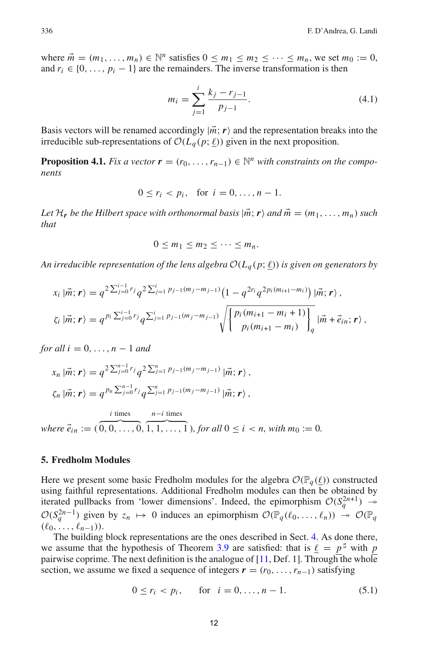where  $\vec{m} = (m_1, \ldots, m_n) \in \mathbb{N}^n$  satisfies  $0 \le m_1 \le m_2 \le \cdots \le m_n$ , we set  $m_0 := 0$ , and  $r_i \in \{0, \ldots, p_i - 1\}$  are the remainders. The inverse transformation is then

<span id="page-11-4"></span>
$$
m_i = \sum_{j=1}^{i} \frac{k_j - r_{j-1}}{p_{j-1}}.
$$
\n(4.1)

<span id="page-11-1"></span>Basis vectors will be renamed accordingly  $|\vec{m}; r\rangle$  and the representation breaks into the irreducible sub-representations of  $\mathcal{O}(L_q(p;\underline{\ell}))$  given in the next proposition.

**Proposition 4.1.** *Fix a vector*  $\mathbf{r} = (r_0, \ldots, r_{n-1}) \in \mathbb{N}^n$  *with constraints on the components*

$$
0 \leq r_i < p_i, \quad \text{for } i = 0, \dots, n-1.
$$

*Let*  $\mathcal{H}_r$  *be the Hilbert space with orthonormal basis*  $|\vec{m}; \mathbf{r}\rangle$  *and*  $\vec{m} = (m_1, \ldots, m_n)$  *such that*

$$
0\leq m_1\leq m_2\leq\cdots\leq m_n.
$$

An irreducible representation of the lens algebra  $\mathcal{O}(L_q(p;\underline{\ell}))$  is given on generators by

$$
x_i \, |\vec{m}; \, \mathbf{r} \rangle = q^{2 \sum_{j=0}^{i-1} r_j} q^{2 \sum_{j=1}^{i} p_{j-1}(m_j - m_{j-1})} \left(1 - q^{2r_i} q^{2p_i(m_{i+1} - m_i)}\right) |\vec{m}; \, \mathbf{r} \rangle \,,
$$
  

$$
\zeta_i \, |\vec{m}; \, \mathbf{r} \rangle = q^{p_i \sum_{j=0}^{i-1} r_j} q^{\sum_{j=1}^{i} p_{j-1}(m_j - m_{j-1})} \sqrt{\left\{\n\begin{array}{l} p_i(m_{i+1} - m_i + 1) \\ p_i(m_{i+1} - m_i) \end{array}\n\right\}}_q |\vec{m} \, + \vec{e}_{in}; \, \mathbf{r} \rangle \,,
$$

*for all i* = 0, ...,  $n-1$  *and* 

$$
x_n |\vec{m}; \, \mathbf{r} \rangle = q^{2 \sum_{j=0}^{n-1} r_j} q^{2 \sum_{j=1}^{n} p_{j-1}(m_j - m_{j-1})} |\vec{m}; \, \mathbf{r} \rangle ,
$$
  

$$
\zeta_n |\vec{m}; \, \mathbf{r} \rangle = q^{p_n \sum_{j=0}^{n-1} r_j} q^{\sum_{j=1}^{n} p_{j-1}(m_j - m_{j-1})} |\vec{m}; \, \mathbf{r} \rangle ,
$$

 $where \ \vec{e}_{in} := (\overline{0, 0, \ldots, 0}, \overline{1, 1, \ldots, 1}), for all \ 0 \leq i < n, with \ m_0 := 0.$ *i* times *n*−*i* times

#### <span id="page-11-0"></span>**5. Fredholm Modules**

Here we present some basic Fredholm modules for the algebra  $\mathcal{O}(\mathbb{P}_q(\underline{\ell}))$  constructed using faithful representations. Additional Fredholm modules can then be obtained by iterated pullbacks from 'lower dimensions'. Indeed, the epimorphism  $O(S_q^{2n+1}) \rightarrow$  $\mathcal{O}(S_q^{2n-1})$  given by  $z_n \mapsto 0$  induces an epimorphism  $\mathcal{O}(\mathbb{P}_q(\ell_0,\ldots,\ell_n)) \to \mathcal{O}(\mathbb{P}_q)$  $(\ell_0, \ldots, \ell_{n-1}))$ .

<span id="page-11-2"></span>The building block representations are the ones described in Sect. [4.](#page-10-0) As done there, we assume that the hypothesis of Theorem [3.9](#page-8-9) are satisfied: that is  $\underline{\ell} = \underline{p}^{\sharp}$  with  $\underline{p}$ pairwise coprime. The next definition is the analogue of  $[11, Det. 1]$  $[11, Det. 1]$ . Through the whole section, we assume we fixed a sequence of integers  $\mathbf{r} = (r_0, \ldots, r_{n-1})$  satisfying

<span id="page-11-3"></span>
$$
0 \le r_i < p_i, \quad \text{for} \quad i = 0, \dots, n - 1.
$$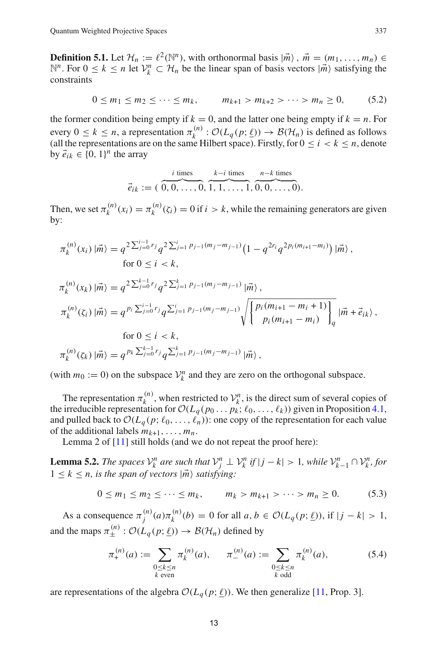<span id="page-12-4"></span>**Definition 5.1.** Let  $\mathcal{H}_n := \ell^2(\mathbb{N}^n)$ , with orthonormal basis  $|\vec{m}\rangle$ ,  $\vec{m} = (m_1, \ldots, m_n) \in \mathbb{N}^n$ .  $\mathbb{N}^n$ . For  $0 \le k \le n$  let  $\mathcal{V}_k^n$  ⊂  $\mathcal{H}_n$  be the linear span of basis vectors  $|\vec{m}\rangle$  satisfying the constraints

$$
0 \le m_1 \le m_2 \le \cdots \le m_k, \qquad m_{k+1} > m_{k+2} > \cdots > m_n \ge 0,
$$
 (5.2)

the former condition being empty if  $k = 0$ , and the latter one being empty if  $k = n$ . For every  $0 \le k \le n$ , a representation  $\pi_k^{(n)}$ :  $\mathcal{O}(L_q(p;\underline{\ell})) \rightarrow \mathcal{B}(\mathcal{H}_n)$  is defined as follows (all the representations are on the same Hilbert space). Firstly, for  $0 \le i \le k \le n$ , denote by  $\vec{e}_{ik} \in \{0, 1\}^n$  the array

$$
\vec{e}_{ik} := (\overbrace{0,0,\ldots,0}^{i \text{ times}}, \overbrace{1,1,\ldots,1}^{k-i \text{ times}}, \overbrace{0,0,\ldots,0}^{n-k \text{ times}}).
$$

Then, we set  $\pi_k^{(n)}(x_i) = \pi_k^{(n)}(\zeta_i) = 0$  if  $i > k$ , while the remaining generators are given by:

$$
\pi_k^{(n)}(x_i) | \vec{m} \rangle = q^{2 \sum_{j=0}^{i-1} r_j} q^{2 \sum_{j=1}^{i} p_{j-1}(m_j - m_{j-1})} \left( 1 - q^{2r_i} q^{2p_i(m_{i+1} - m_i)} \right) | \vec{m} \rangle ,
$$
  
\nfor  $0 \le i < k$ ,  
\n
$$
\pi_k^{(n)}(x_k) | \vec{m} \rangle = q^{2 \sum_{j=0}^{k-1} r_j} q^{2 \sum_{j=1}^{k} p_{j-1}(m_j - m_{j-1})} | \vec{m} \rangle ,
$$
  
\n
$$
\pi_k^{(n)}(\zeta_i) | \vec{m} \rangle = q^{p_i \sum_{j=0}^{i-1} r_j} q^{\sum_{j=1}^{i} p_{j-1}(m_j - m_{j-1})} \sqrt{\left\{ \begin{aligned} p_i(m_{i+1} - m_i + 1) \\ p_i(m_{i+1} - m_i) \end{aligned} \right\}} q^{|\vec{m} + \vec{e}_{ik} \rangle ,
$$
  
\nfor  $0 \le i < k$ ,  
\n
$$
\pi_k^{(n)}(\zeta_k) | \vec{m} \rangle = q^{p_k \sum_{j=0}^{k-1} r_j} q^{\sum_{j=1}^{k} p_{j-1}(m_j - m_{j-1})} | \vec{m} \rangle ,
$$

(with  $m_0 := 0$ ) on the subspace  $V_k^n$  and they are zero on the orthogonal subspace.

The representation  $\pi_k^{(n)}$ , when restricted to  $\mathcal{V}_k^n$ , is the direct sum of several copies of the irreducible representation for  $O(L_q(p_0 \ldots p_k; \ell_0, \ldots, \ell_k))$  given in Proposition [4.1,](#page-11-1) and pulled back to  $\mathcal{O}(L_q(p;\ell_0,\ldots,\ell_n))$ : one copy of the representation for each value of the additional labels  $m_{k+1}, \ldots, m_n$ .

Lemma 2 of [\[11\]](#page-27-2) still holds (and we do not repeat the proof here):

<span id="page-12-0"></span>**Lemma 5.2.** The spaces  $V_k^n$  are such that  $V_k^n \perp V_k^n$  if  $|j - k| > 1$ , while  $V_{k-1}^n \cap V_k^n$ , for  $1 \leq k \leq n$ , is the span of vectors  $|\vec{m}\rangle$  satisfying:

<span id="page-12-1"></span>
$$
0 \le m_1 \le m_2 \le \cdots \le m_k, \qquad m_k > m_{k+1} > \cdots > m_n \ge 0. \tag{5.3}
$$

As a consequence  $\pi_j^{(n)}(a)\pi_k^{(n)}(b) = 0$  for all  $a, b \in \mathcal{O}(L_q(p; \underline{\ell}))$ , if  $|j - k| > 1$ , and the maps  $\pi_{\pm}^{(n)} : \mathcal{O}(L_q(p; \underline{\ell})) \to \mathcal{B}(\mathcal{H}_n)$  defined by

<span id="page-12-3"></span>
$$
\pi_{+}^{(n)}(a) := \sum_{\substack{0 \le k \le n \\ k \text{ even}}} \pi_{k}^{(n)}(a), \qquad \pi_{-}^{(n)}(a) := \sum_{\substack{0 \le k \le n \\ k \text{ odd}}} \pi_{k}^{(n)}(a), \tag{5.4}
$$

<span id="page-12-2"></span>are representations of the algebra  $\mathcal{O}(L_q(p; \underline{\ell}))$ . We then generalize [\[11](#page-27-2), Prop. 3].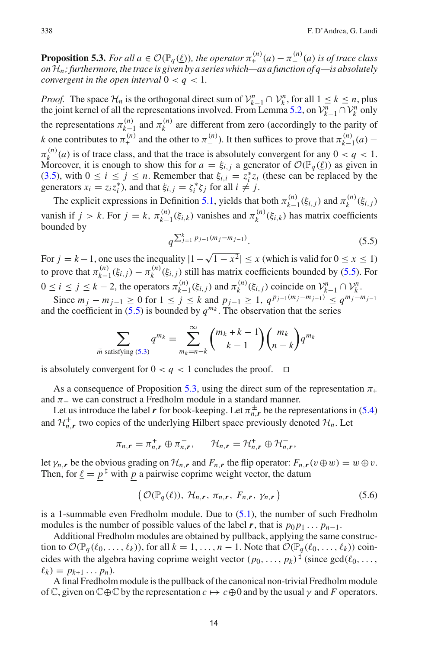**Proposition 5.3.** *For all*  $a \in \mathcal{O}(\mathbb{P}_q(\underline{\ell}))$ *, the operator*  $\pi^{(n)}_+(a) - \pi^{(n)}_-(a)$  *is of trace class on Hn; furthermore, the trace is given by a series which—as a function of q—is absolutely convergent in the open interval*  $0 < q < 1$ *.* 

*Proof.* The space  $\mathcal{H}_n$  is the orthogonal direct sum of  $\mathcal{V}_{k-1}^n \cap \mathcal{V}_k^n$ , for all  $1 \le k \le n$ , plus the ight learned of all the geomegentations involved. From Lemma 5.2, on  $\mathcal{V}_k^n$ ,  $\bigcirc \mathcal{V}_k^n$  and  $\bigcirc \mathcal$ the joint kernel of all the representations involved. From Lemma [5.2,](#page-12-0) on  $\mathcal{V}_{k-1}^n \cap \mathcal{V}_k^n$  only the representations  $\pi_{k-1}^{(n)}$  and  $\pi_k^{(n)}$  are different from zero (accordingly to the parity of *k* one contributes to  $\pi^{(n)}_+$  and the other to  $\pi^{(n)}_-$ ). It then suffices to prove that  $\pi^{(n)}_{k-1}(a)$  −  $\pi_k^{(n)}(a)$  is of trace class, and that the trace is absolutely convergent for any  $0 < q < 1$ . Moreover, it is enough to show this for  $a = \xi_{i,j}$  a generator of  $\mathcal{O}(\mathbb{P}_q(\underline{\ell}))$  as given in [\(3.5\)](#page-5-1), with  $0 \le i \le j \le n$ . Remember that  $\xi_{i,i} = z_i^* z_i$  (these can be replaced by the generators  $x_i = z_i z_i^*$ , and that  $\xi_{i,j} = \zeta_i^* \zeta_j$  for all  $i \neq j$ .

The explicit expressions in Definition [5.1,](#page-11-2) yields that both  $\pi_{k-1}^{(n)}(\xi_{i,j})$  and  $\pi_k^{(n)}(\xi_{i,j})$ vanish if  $j > k$ . For  $j = k$ ,  $\pi_{k-1}^{(n)}(\xi_{i,k})$  vanishes and  $\pi_k^{(n)}(\xi_{i,k})$  has matrix coefficients bounded by

$$
q^{\sum_{j=1}^{k} p_{j-1}(m_j - m_{j-1})}.
$$
\n(5.5)

<span id="page-13-0"></span>For  $j = k - 1$ , one uses the inequality  $|1 - \sqrt{1 - x^2}| \le x$  (which is valid for  $0 \le x \le 1$ ) to prove that  $\pi_{k-1}^{(n)}(\xi_{i,j}) - \pi_k^{(n)}(\xi_{i,j})$  still has matrix coefficients bounded by [\(5.5\)](#page-13-0). For  $0 \le i \le j \le k-2$ , the operators  $\pi_{k-1}^{(n)}(\xi_{i,j})$  and  $\pi_k^{(n)}(\xi_{i,j})$  coincide on  $\mathcal{V}_{k-1}^n \cap \mathcal{V}_k^n$ .

Since  $m_j - m_{j-1} \ge 0$  for  $1 \le j \le k$  and  $p_{j-1} \ge 1$ ,  $q^{p_{j-1}(m_j - m_{j-1})} \le q^{m_j - m_{j-1}}$ and the coefficient in  $(5.5)$  is bounded by  $q^{m_k}$ . The observation that the series

$$
\sum_{\vec{m} \text{ satisfying (5.3)}} q^{m_k} = \sum_{m_k=n-k}^{\infty} {m_k + k - 1 \choose k - 1} {m_k \choose n - k} q^{m_k}
$$

is absolutely convergent for  $0 < q < 1$  concludes the proof.  $\Box$ 

-

As a consequence of Proposition [5.3,](#page-12-2) using the direct sum of the representation  $\pi$ + and  $\pi_$  we can construct a Fredholm module in a standard manner.

Let us introduce the label  $r$  for book-keeping. Let  $\pi_{n,r}^{\pm}$  be the representations in [\(5.4\)](#page-12-3) and  $\mathcal{H}_{n,r}^{\pm}$  two copies of the underlying Hilbert space previously denoted  $\mathcal{H}_n$ . Let

$$
\pi_{n,r} = \pi_{n,r}^+ \oplus \pi_{n,r}^- , \qquad \mathcal{H}_{n,r} = \mathcal{H}_{n,r}^+ \oplus \mathcal{H}_{n,r}^- ,
$$

let  $\gamma_{n,r}$  be the obvious grading on  $\mathcal{H}_{n,r}$  and  $F_{n,r}$  the flip operator:  $F_{n,r}(v \oplus w) = w \oplus v$ . Then, for  $\underline{\ell} = \underline{p}^{\sharp}$  with  $\underline{p}$  a pairwise coprime weight vector, the datum

<span id="page-13-1"></span>
$$
\left(\mathcal{O}(\mathbb{P}_q(\underline{\ell})),\,\mathcal{H}_{n,r},\,\pi_{n,r},\,F_{n,r},\,\gamma_{n,r}\right) \tag{5.6}
$$

is a 1-summable even Fredholm module. Due to [\(5.1\)](#page-11-3), the number of such Fredholm modules is the number of possible values of the label *r*, that is  $p_0 p_1 \ldots p_{n-1}$ .

Additional Fredholm modules are obtained by pullback, applying the same construction to  $\mathcal{O}(\mathbb{P}_q(\ell_0,\ldots,\ell_k))$ , for all  $k = 1,\ldots,n-1$ . Note that  $\mathcal{O}(\mathbb{P}_q(\ell_0,\ldots,\ell_k))$  coincides with the algebra having coprime weight vector  $(p_0, \ldots, p_k)^\sharp$  (since  $gcd(\ell_0, \ldots, \ell_k)$ )  $\ell_k$ ) =  $p_{k+1} \dots p_n$ ).

A final Fredholm module is the pullback of the canonical non-trivial Fredholm module of  $\mathbb{C}$ , given on  $\mathbb{C} \oplus \mathbb{C}$  by the representation  $c \mapsto c \oplus 0$  and by the usual  $\gamma$  and F operators.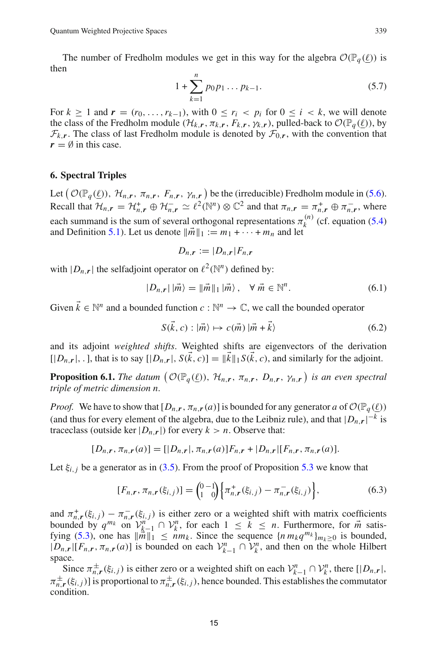<span id="page-14-5"></span>The number of Fredholm modules we get in this way for the algebra  $\mathcal{O}(\mathbb{P}_q(\underline{\ell}))$  is then

$$
1 + \sum_{k=1}^{n} p_0 p_1 \dots p_{k-1}.
$$
 (5.7)

For  $k \ge 1$  and  $r = (r_0, \ldots, r_{k-1})$ , with  $0 \le r_i < p_i$  for  $0 \le i < k$ , we will denote the class of the Fredholm module  $(\mathcal{H}_{k,r}, \pi_{k,r}, F_{k,r}, \gamma_{k,r})$ , pulled-back to  $\mathcal{O}(\mathbb{P}_q(\underline{\ell}))$ , by  $\mathcal{F}_{k,r}$ . The class of last Fredholm module is denoted by  $\mathcal{F}_{0,r}$ , with the convention that  $r = \emptyset$  in this case.

#### <span id="page-14-0"></span>**6. Spectral Triples**

Let  $(\mathcal{O}(\mathbb{P}_q(\underline{\ell}))$ ,  $\mathcal{H}_{n,r}$ ,  $\pi_{n,r}$ ,  $F_{n,r}$ ,  $\gamma_{n,r}$  be the (irreducible) Fredholm module in [\(5.6\)](#page-13-1). Recall that  $\mathcal{H}_{n,r} = \mathcal{H}_{n,r}^+ \oplus \mathcal{H}_{n,r}^- \simeq \ell^2(\mathbb{N}^n) \otimes \mathbb{C}^2$  and that  $\pi_{n,r} = \pi_{n,r}^+ \oplus \pi_{n,r}^-$ , where each summand is the sum of several orthogonal representations  $\pi_k^{(n)}$  (cf. equation [\(5.4\)](#page-12-3) and Definition [5.1\)](#page-11-2). Let us denote  $\|\vec{m}\|_1 := m_1 + \cdots + m_n$  and let

<span id="page-14-4"></span><span id="page-14-2"></span>
$$
D_{n,r} := |D_{n,r}| F_{n,r}
$$

with  $|D_{n,r}|$  the selfadjoint operator on  $\ell^2(\mathbb{N}^n)$  defined by:

$$
|D_{n,r}| \, |\vec{m}\rangle = \|\vec{m}\|_1 \, |\vec{m}\rangle \,, \quad \forall \, \vec{m} \in \mathbb{N}^n. \tag{6.1}
$$

Given  $\vec{k} \in \mathbb{N}^n$  and a bounded function  $c : \mathbb{N}^n \to \mathbb{C}$ , we call the bounded operator

$$
S(\vec{k}, c) : |\vec{m}\rangle \mapsto c(\vec{m}) |\vec{m} + \vec{k}\rangle \tag{6.2}
$$

<span id="page-14-1"></span>and its adjoint *weighted shifts*. Weighted shifts are eigenvectors of the derivation  $[|D_{n,r}|, \cdot]$ , that is to say  $[|D_{n,r}|, S(k,c)] = ||k||_1 S(k,c)$ , and similarly for the adjoint.

**Proposition 6.1.** *The datum*  $(\mathcal{O}(\mathbb{P}_q(\underline{\ell}))$ ,  $\mathcal{H}_{n,r}$ ,  $\pi_{n,r}$ ,  $D_{n,r}$ ,  $\gamma_{n,r}$  *is an even spectral triple of metric dimension n.*

*Proof.* We have to show that  $[D_{n,r}, \pi_{n,r}(a)]$  is bounded for any generator *a* of  $\mathcal{O}(\mathbb{P}_q(\underline{\ell}))$ (and thus for every element of the algebra, due to the Leibniz rule), and that  $|D_{n,r}|^{-k}$  is traceclass (outside ker  $|D_{n,r}|$ ) for every  $k > n$ . Observe that:

$$
[D_{n,r}, \pi_{n,r}(a)] = [|D_{n,r}|, \pi_{n,r}(a)]F_{n,r} + |D_{n,r}|[F_{n,r}, \pi_{n,r}(a)].
$$

Let  $\xi_{i,j}$  be a generator as in [\(3.5\)](#page-5-1). From the proof of Proposition [5.3](#page-12-2) we know that

<span id="page-14-3"></span>
$$
[F_{n,r}, \pi_{n,r}(\xi_{i,j})] = {0-1 \choose 1} \left\{ \pi_{n,r}^+(\xi_{i,j}) - \pi_{n,r}^-(\xi_{i,j}) \right\},\tag{6.3}
$$

and  $\pi^+_{n,r}(\xi_{i,j}) - \pi^-_{n,r}(\xi_{i,j})$  is either zero or a weighted shift with matrix coefficients bounded by  $q^{m_k}$  on  $\mathcal{V}_{k-1}^n \cap \mathcal{V}_k^n$ , for each  $1 \leq k \leq n$ . Furthermore, for  $\vec{m}$  satis-<br>fring (5.2), and has  $\frac{1}{n-1}$ fying [\(5.3\)](#page-12-1), one has  $\|\vec{m}\|_1 \leq \hat{n}m_k$ . Since the sequence  $\{n m_k q^{m_k}\}_{m_k \geq 0}$  is bounded,  $|D_{n,r}|[F_{n,r}, \pi_{n,r}(a)]$  is bounded on each  $V_{k-1}^n \cap V_k^n$ , and then on the whole Hilbert space.

Since  $\pi_{n,r}^{\pm}(\xi_{i,j})$  is either zero or a weighted shift on each  $V_{k-1}^n \cap V_k^n$ , there  $[|D_{n,r}|,$  $\pi^{\pm}_{n,r}(\xi_{i,j})$ ] is proportional to  $\pi^{\pm}_{n,r}(\xi_{i,j})$ , hence bounded. This establishes the commutator condition.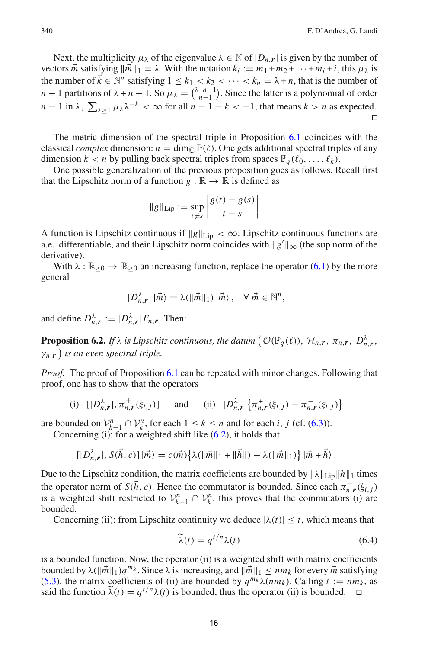Next, the multiplicity  $\mu_{\lambda}$  of the eigenvalue  $\lambda \in \mathbb{N}$  of  $|D_n r|$  is given by the number of vectors  $\vec{m}$  satisfying  $\|\vec{m}\|_1 = \lambda$ . With the notation  $k_i := m_1 + m_2 + \cdots + m_i + i$ , this  $\mu_{\lambda}$  is the number of  $\vec{k} \in \mathbb{N}^n$  satisfying  $1 \le k_1 < k_2 < \cdots < k_n = \lambda + n$ , that is the number of *n* − 1 partitions of  $\lambda + n - 1$ . So  $\mu_{\lambda} = \binom{\lambda + n - 1}{n - 1}$  $\binom{+n-1}{n-1}$ . Since the latter is a polynomial of order  $n-1$  in  $\lambda$ ,  $\sum_{\lambda \geq 1} \mu_{\lambda} \lambda^{-k} < \infty$  for all  $n-1-k < -1$ , that means  $k > n$  as expected.  $\Box$ 

The metric dimension of the spectral triple in Proposition [6.1](#page-14-1) coincides with the classical *complex* dimension:  $n = \dim_{\mathbb{C}} \mathbb{P}(\underline{\ell})$ . One gets additional spectral triples of any dimension  $k < n$  by pulling back spectral triples from spaces  $\mathbb{P}_q(\ell_0, \ldots, \ell_k)$ .

One possible generalization of the previous proposition goes as follows. Recall first that the Lipschitz norm of a function  $g : \mathbb{R} \to \mathbb{R}$  is defined as

$$
\|g\|_{\text{Lip}} := \sup_{t \neq s} \left| \frac{g(t) - g(s)}{t - s} \right|.
$$

A function is Lipschitz continuous if  $\|g\|_{\text{Lip}} < \infty$ . Lipschitz continuous functions are a.e. differentiable, and their Lipschitz norm coincides with  $\|g'\|_{\infty}$  (the sup norm of the derivative).

With  $\lambda : \mathbb{R}_{>0} \to \mathbb{R}_{>0}$  an increasing function, replace the operator [\(6.1\)](#page-14-2) by the more general

$$
|D_{n,r}^{\lambda}| \, |\vec{m}\rangle = \lambda(\|\vec{m}\|_1) \, |\vec{m}\rangle \, , \quad \forall \, \vec{m} \in \mathbb{N}^n ,
$$

<span id="page-15-0"></span>and define  $D_{n,r}^{\lambda} := |D_{n,r}^{\lambda}|F_{n,r}$ . Then:

**Proposition 6.2.** If  $\lambda$  is Lipschitz continuous, the datum  $(\mathcal{O}(\mathbb{P}_q(\underline{\ell}))$ ,  $\mathcal{H}_{n,r}$ ,  $\pi_{n,r}$ ,  $D_{n,r}^{\lambda}$ ,  $\gamma_{n,r}$ ) is an even spectral triple.

*Proof.* The proof of Proposition [6.1](#page-14-1) can be repeated with minor changes. Following that proof, one has to show that the operators

(i) 
$$
[|D_{n,r}^{\lambda}|, \pi_{n,r}^{\pm}(\xi_{i,j})]
$$
 and (ii)  $|D_{n,r}^{\lambda}| \{ \pi_{n,r}^{\pm}(\xi_{i,j}) - \pi_{n,r}^{\pm}(\xi_{i,j}) \}$ 

are bounded on  $V_{k-1}^n \cap V_k^n$ , for each  $1 \le k \le n$  and for each *i*, *j* (cf. [\(6.3\)](#page-14-3)).

Concerning (i): for a weighted shift like [\(6.2\)](#page-14-4), it holds that

$$
[|D_{n,\mathbf{r}}^{\lambda}|, S(\vec{h}, c)]|\vec{m}\rangle = c(\vec{m})\big\{\lambda(\|\vec{m}\|_1 + \|\vec{h}\|) - \lambda(\|\vec{m}\|_1)\big\}|\vec{m} + \vec{h}\rangle.
$$

Due to the Lipschitz condition, the matrix coefficients are bounded by  $\|\lambda\|_{\text{Lin}} \|h\|_1$  times the operator norm of *S*(*h*, *c*). Hence the commutator is bounded. Since each  $\pi^{\pm}_{n,r}(\xi_{i,j})$ is a weighted shift restricted to  $V_{k-1}^n \cap V_k^n$ , this proves that the commutators (i) are bounded.

Concerning (ii): from Lipschitz continuity we deduce  $|\lambda(t)| \leq t$ , which means that

<span id="page-15-1"></span>
$$
\widetilde{\lambda}(t) = q^{t/n} \lambda(t) \tag{6.4}
$$

is a bounded function. Now, the operator (ii) is a weighted shift with matrix coefficients bounded by  $\lambda(\Vert \vec{m} \Vert_1) q^{m_k}$ . Since  $\lambda$  is increasing, and  $\Vert \vec{m} \Vert_1 \leq n m_k$  for every  $\vec{m}$  satisfying [\(5.3\)](#page-12-1), the matrix coefficients of (ii) are bounded by  $q^{m_k} \lambda(nm_k)$ . Calling  $t := nm_k$ , as said the function  $\tilde{\lambda}(t) = q^{t/n} \lambda(t)$  is bounded, thus the operator (ii) is bounded.  $\Box$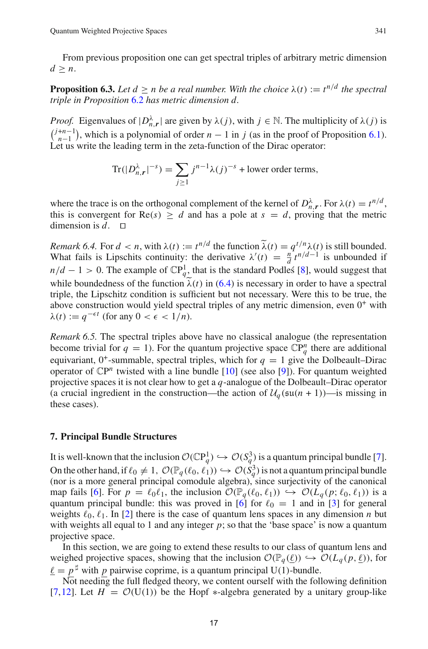From previous proposition one can get spectral triples of arbitrary metric dimension  $d > n$ .

**Proposition 6.3.** *Let*  $d \ge n$  *be a real number. With the choice*  $\lambda(t) := t^{n/d}$  *the spectral triple in Proposition* [6.2](#page-15-0) *has metric dimension d.*

*Proof.* Eigenvalues of  $|D_{n,r}^{\lambda}|$  are given by  $\lambda(j)$ , with  $j \in \mathbb{N}$ . The multiplicity of  $\lambda(j)$  is  $\binom{j+n-1}{n-1}$ , which is a polynomial of order *n* − 1 in *j* (as in the proof of Proposition [6.1\)](#page-14-1).  $\begin{bmatrix} n-1 \end{bmatrix}$ , which is a polynomial of order  $n-1$  in  $f$  (as in the proof of 1).<br>Let us write the leading term in the zeta-function of the Dirac operator:

$$
\operatorname{Tr}(|D_{n,\mathbf{r}}^{\lambda}|^{-s}) = \sum_{j\geq 1} j^{n-1} \lambda(j)^{-s} + \text{lower order terms},
$$

where the trace is on the orthogonal complement of the kernel of  $D_{n,r}^{\lambda}$ . For  $\lambda(t) = t^{n/d}$ , this is convergent for  $\text{Re}(s) \geq d$  and has a pole at  $s = d$ , proving that the metric dimension is  $d$ .  $\Box$ 

*Remark 6.4.* For  $d < n$ , with  $\lambda(t) := t^{n/d}$  the function  $\tilde{\lambda}(t) = q^{t/n} \lambda(t)$  is still bounded. What fails is Lipschits continuity: the derivative  $\lambda'(t) = \frac{n}{d} t^{n/d-1}$  is unbounded if  $n/d - 1 > 0$ . The example of  $\mathbb{C}P_q^1$ , that is the standard Podles<sup>[\[8\]](#page-27-7)</sup>, would suggest that while boundedness of the function  $\lambda(t)$  in [\(6.4\)](#page-15-1) is necessary in order to have a spectral triple, the Lipschitz condition is sufficient but not necessary. Were this to be true, the above construction would yield spectral triples of any metric dimension, even  $0^+$  with  $\lambda(t) := q^{-\epsilon t}$  (for any  $0 < \epsilon < 1/n$ ).

*Remark 6.5.* The spectral triples above have no classical analogue (the representation become trivial for  $q = 1$ ). For the quantum projective space  $\mathbb{C}P_q^n$  there are additional equivariant,  $0^+$ -summable, spectral triples, which for  $q = 1$  give the Dolbeault–Dirac operator of  $\mathbb{C}P^n$  twisted with a line bundle  $[10]$  $[10]$  (see also [\[9\]](#page-27-9)). For quantum weighted projective spaces it is not clear how to get a *q*-analogue of the Dolbeault–Dirac operator (a crucial ingredient in the construction—the action of  $U_q(\mathfrak{su}(n+1))$ —is missing in these cases).

### <span id="page-16-0"></span>**7. Principal Bundle Structures**

It is well-known that the inclusion  $\mathcal{O}(\mathbb{C}P_q^1) \hookrightarrow \mathcal{O}(S_q^3)$  is a quantum principal bundle [\[7](#page-27-10)]. On the other hand, if  $\ell_0 \neq 1$ ,  $\mathcal{O}(\mathbb{P}_q(\ell_0, \ell_1)) \hookrightarrow \mathcal{O}(S_q^3)$  is not a quantum principal bundle (nor is a more general principal comodule algebra), since surjectivity of the canonical map fails [\[6](#page-27-0)]. For  $p = \ell_0 \ell_1$ , the inclusion  $\mathcal{O}(\mathbb{P}_q(\ell_0, \ell_1)) \hookrightarrow \mathcal{O}(L_q(p; \ell_0, \ell_1))$  is a quantum principal bundle: this was proved in [\[6\]](#page-27-0) for  $\ell_0 = 1$  and in [\[3\]](#page-27-1) for general weights  $\ell_0$ ,  $\ell_1$ . In [\[2](#page-27-11)] there is the case of quantum lens spaces in any dimension *n* but with weights all equal to 1 and any integer  $p$ ; so that the 'base space' is now a quantum projective space.

In this section, we are going to extend these results to our class of quantum lens and weighed projective spaces, showing that the inclusion  $\mathcal{O}(\mathbb{P}_q(\underline{\ell})) \hookrightarrow \mathcal{O}(L_q(p, \underline{\ell}))$ , for  $\underline{\ell} = \underline{p}^{\sharp}$  with  $\underline{p}$  pairwise coprime, is a quantum principal U(1)-bundle.

 $N<sub>o</sub>$  is needing the full fledged theory, we content ourself with the following definition [\[7](#page-27-10)[,12](#page-27-12)]. Let  $H = \mathcal{O}(U(1))$  be the Hopf \*-algebra generated by a unitary group-like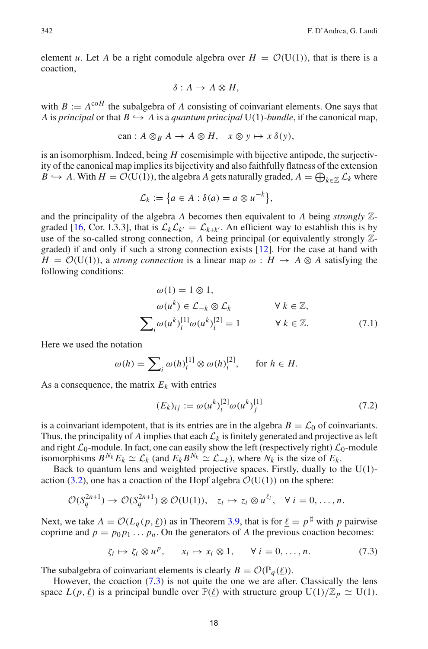element *u*. Let *A* be a right comodule algebra over  $H = \mathcal{O}(U(1))$ , that is there is a coaction,

$$
\delta: A \to A \otimes H,
$$

with  $B := A^{coH}$  the subalgebra of *A* consisting of coinvariant elements. One says that *A* is *principal* or that  $B \hookrightarrow A$  is a *quantum principal* U(1)*-bundle*, if the canonical map,

$$
\operatorname{can}: A \otimes_B A \to A \otimes H, \quad x \otimes y \mapsto x \, \delta(y),
$$

is an isomorphism. Indeed, being *H* cosemisimple with bijective antipode, the surjectivity of the canonical map implies its bijectivity and also faithfully flatness of the extension  $B \hookrightarrow A$ . With  $H = \mathcal{O}(U(1))$ , the algebra *A* gets naturally graded,  $A = \bigoplus_{k \in \mathbb{Z}} \mathcal{L}_k$  where

$$
\mathcal{L}_k := \{ a \in A : \delta(a) = a \otimes u^{-k} \},
$$

and the principality of the algebra *A* becomes then equivalent to *A* being *strongly* Z-graded [\[16,](#page-28-3) Cor. I.3.3], that is  $\mathcal{L}_k \mathcal{L}_{k'} = \mathcal{L}_{k+k'}$ . An efficient way to establish this is by use of the so-called strong connection, *A* being principal (or equivalently strongly Z-graded) if and only if such a strong connection exists [\[12\]](#page-27-12). For the case at hand with  $H = \mathcal{O}(U(1))$ , a *strong connection* is a linear map  $\omega : H \to A \otimes A$  satisfying the following conditions:

<span id="page-17-1"></span>
$$
\omega(1) = 1 \otimes 1,
$$
  
\n
$$
\omega(u^{k}) \in \mathcal{L}_{-k} \otimes \mathcal{L}_{k} \qquad \forall k \in \mathbb{Z},
$$
  
\n
$$
\sum_{i} \omega(u^{k})_{i}^{[1]} \omega(u^{k})_{i}^{[2]} = 1 \qquad \forall k \in \mathbb{Z}.
$$
 (7.1)

Here we used the notation

$$
\omega(h) = \sum_{i} \omega(h)^{[1]}_{i} \otimes \omega(h)^{[2]}_{i}, \quad \text{for } h \in H.
$$

As a consequence, the matrix  $E_k$  with entries

<span id="page-17-2"></span><span id="page-17-0"></span>
$$
(E_k)_{ij} := \omega(u^k)^{[2]}_i \omega(u^k)^{[1]}_j \tag{7.2}
$$

is a coinvariant idempotent, that is its entries are in the algebra  $B = \mathcal{L}_0$  of coinvariants. Thus, the principality of *A* implies that each  $\mathcal{L}_k$  is finitely generated and projective as left and right  $\mathcal{L}_0$ -module. In fact, one can easily show the left (respectively right)  $\mathcal{L}_0$ -module isomorphisms  $B^{N_k}E_k \simeq \mathcal{L}_k$  (and  $E_k B^{N_k} \simeq \mathcal{L}_{-k}$ ), where  $N_k$  is the size of  $E_k$ .

Back to quantum lens and weighted projective spaces. Firstly, dually to the  $U(1)$ action  $(3.2)$ , one has a coaction of the Hopf algebra  $\mathcal{O}(U(1))$  on the sphere:

$$
\mathcal{O}(S_q^{2n+1}) \to \mathcal{O}(S_q^{2n+1}) \otimes \mathcal{O}(U(1)), \quad z_i \mapsto z_i \otimes u^{\ell_i}, \quad \forall \ i = 0, \dots, n.
$$

Next, we take  $A = \mathcal{O}(L_q(p, \underline{\ell}))$  as in Theorem [3.9,](#page-8-9) that is for  $\underline{\ell} = \underline{p}^{\frac{d}{p}}$  with  $\underline{p}$  pairwise coprime and  $p = p_0 p_1 \dots p_n$ . On the generators of A the previous coaction becomes:

$$
\zeta_i \mapsto \zeta_i \otimes u^p, \qquad x_i \mapsto x_i \otimes 1, \qquad \forall \ i = 0, \dots, n. \tag{7.3}
$$

The subalgebra of coinvariant elements is clearly  $B = \mathcal{O}(\mathbb{P}_q(\underline{\ell}))$ .

However, the coaction [\(7.3\)](#page-17-0) is not quite the one we are after. Classically the lens space  $L(p, \underline{\ell})$  is a principal bundle over  $\mathbb{P}(\underline{\ell})$  with structure group  $U(1)/\mathbb{Z}_p \simeq U(1)$ .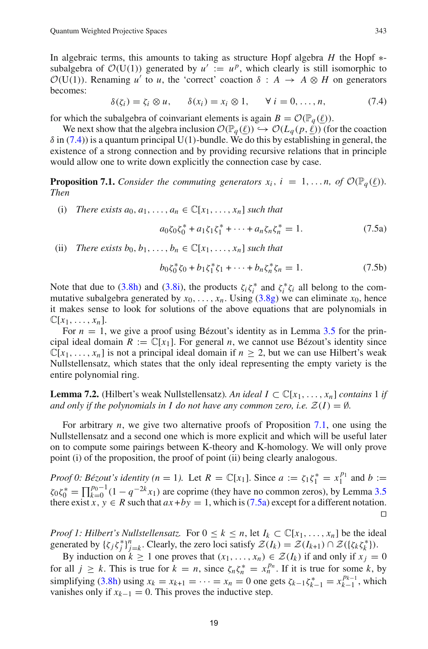In algebraic terms, this amounts to taking as structure Hopf algebra *H* the Hopf ∗ subalgebra of  $\mathcal{O}(U(1))$  generated by  $u' := u^p$ , which clearly is still isomorphic to  $\mathcal{O}(U(1))$ . Renaming *u'* to *u*, the 'correct' coaction  $\delta : A \rightarrow A \otimes H$  on generators becomes:

$$
\delta(\zeta_i) = \zeta_i \otimes u, \qquad \delta(x_i) = x_i \otimes 1, \qquad \forall \ i = 0, \dots, n,
$$
\n
$$
(7.4)
$$

<span id="page-18-0"></span>for which the subalgebra of coinvariant elements is again  $B = \mathcal{O}(\mathbb{P}_q(\underline{\ell}))$ .

We next show that the algebra inclusion  $\mathcal{O}(\mathbb{P}_q(\underline{\ell})) \hookrightarrow \mathcal{O}(L_q(p, \underline{\ell}))$  (for the coaction  $\delta$  in [\(7.4\)](#page-18-0)) is a quantum principal U(1)-bundle. We do this by establishing in general, the existence of a strong connection and by providing recursive relations that in principle would allow one to write down explicitly the connection case by case.

<span id="page-18-1"></span>**Proposition 7.1.** *Consider the commuting generators*  $x_i$ ,  $i = 1,...n$ , of  $\mathcal{O}(\mathbb{P}_q(\underline{\ell}))$ *. Then*

- (i) *There exists a*<sub>0</sub>,  $a_1, \ldots, a_n \in \mathbb{C}[x_1, \ldots, x_n]$  *such that*  $a_0 \zeta_0 \zeta_0^* + a_1 \zeta_1 \zeta_1^* + \cdots + a_n \zeta_n \zeta_n^* = 1.$  (7.5a)
- (ii) *There exists b*<sub>0</sub>, *b*<sub>1</sub>, ..., *b*<sub>n</sub>  $\in \mathbb{C}[x_1, \ldots, x_n]$  *such that*

<span id="page-18-4"></span><span id="page-18-2"></span>
$$
b_0 \zeta_0^* \zeta_0 + b_1 \zeta_1^* \zeta_1 + \dots + b_n \zeta_n^* \zeta_n = 1. \tag{7.5b}
$$

Note that due to [\(3.8h\)](#page-8-4) and [\(3.8i\)](#page-8-5), the products  $\zeta_i \zeta_i^*$  and  $\zeta_i^* \zeta_i$  all belong to the commutative subalgebra generated by  $x_0, \ldots, x_n$ . Using [\(3.8g\)](#page-8-6) we can eliminate  $x_0$ , hence it makes sense to look for solutions of the above equations that are polynomials in  $\mathbb{C}[x_1,\ldots,x_n].$ 

For  $n = 1$ , we give a proof using Bézout's identity as in Lemma [3.5](#page-6-2) for the principal ideal domain  $R := \mathbb{C}[x_1]$ . For general *n*, we cannot use Bézout's identity since  $\mathbb{C}[x_1,\ldots,x_n]$  is not a principal ideal domain if  $n \geq 2$ , but we can use Hilbert's weak Nullstellensatz, which states that the only ideal representing the empty variety is the entire polynomial ring.

<span id="page-18-3"></span>**Lemma 7.2.** (Hilbert's weak Nullstellensatz). An ideal  $I \subset \mathbb{C}[x_1, \ldots, x_n]$  contains 1 if *and only if the polynomials in I do not have any common zero, i.e.*  $\mathcal{Z}(I) = \emptyset$ *.* 

For arbitrary *n*, we give two alternative proofs of Proposition [7.1,](#page-18-1) one using the Nullstellensatz and a second one which is more explicit and which will be useful later on to compute some pairings between K-theory and K-homology. We will only prove point (i) of the proposition, the proof of point (ii) being clearly analogous.

*Proof 0: Bézout's identity (n = 1).* Let  $R = \mathbb{C}[x_1]$ . Since  $a := \zeta_1 \zeta_1^* = x_1^{p_1}$  and  $b :=$  $\zeta_0 \zeta_0^* = \prod_{k=0}^{p_0-1} (1 - q^{-2k} x_1)$  are coprime (they have no common zeros), by Lemma [3.5](#page-6-2) there exist  $x, y \in R$  such that  $ax + by = 1$ , which is [\(7.5a\)](#page-18-2) except for a different notation. □

*Proof 1: Hilbert's Nullstellensatz.* For  $0 \le k \le n$ , let  $I_k \subset \mathbb{C}[x_1, \ldots, x_n]$  be the ideal generated by  $\{\zeta_j \zeta_j^*\}_{j=k}^n$ . Clearly, the zero loci satisfy  $\mathcal{Z}(I_k) = \mathcal{Z}(I_{k+1}) \cap \mathcal{Z}(\{\zeta_k \zeta_k^*\})$ .

By induction on  $k \ge 1$  one proves that  $(x_1, \ldots, x_n) \in \mathcal{Z}(I_k)$  if and only if  $x_j = 0$ for all  $j \geq k$ . This is true for  $k = n$ , since  $\zeta_n \zeta_n^* = x_n^{p_n}$ . If it is true for some k, by simplifying [\(3.8h\)](#page-8-4) using  $x_k = x_{k+1} = \cdots = x_n = 0$  one gets  $\zeta_{k-1}\zeta_{k-1}^* = x_{k-1}^{p_{k-1}}$ , which vanishes only if  $x_{k-1} = 0$ . This proves the inductive step.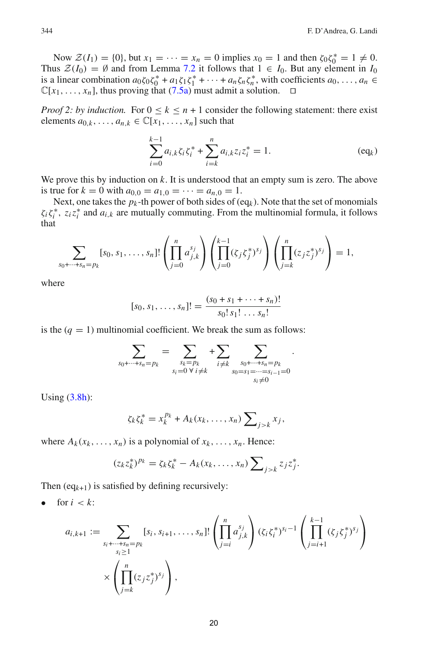Now  $\mathcal{Z}(I_1) = \{0\}$ , but  $x_1 = \cdots = x_n = 0$  implies  $x_0 = 1$  and then  $\zeta_0 \zeta_0^* = 1 \neq 0$ . Thus  $\mathcal{Z}(I_0) = \emptyset$  and from Lemma [7.2](#page-18-3) it follows that  $1 \in I_0$ . But any element in  $I_0$ is a linear combination  $a_0 \zeta_0 \zeta_0^* + a_1 \zeta_1 \zeta_1^* + \cdots + a_n \zeta_n \zeta_n^*$ , with coefficients  $a_0, \ldots, a_n \in \mathbb{R}$  $\mathbb{C}[x_1,\ldots,x_n]$ , thus proving that  $(7.5a)$  must admit a solution.  $\Box$ 

*Proof 2: by induction.* For  $0 \le k \le n + 1$  consider the following statement: there exist elements  $a_{0,k}, \ldots, a_{n,k} \in \mathbb{C}[x_1, \ldots, x_n]$  such that

$$
\sum_{i=0}^{k-1} a_{i,k} \zeta_i \zeta_i^* + \sum_{i=k}^n a_{i,k} z_i z_i^* = 1.
$$
 (eq<sub>k</sub>)

.

We prove this by induction on *k*. It is understood that an empty sum is zero. The above is true for  $k = 0$  with  $a_{0,0} = a_{1,0} = \cdots = a_{n,0} = 1$ .

Next, one takes the  $p_k$ -th power of both sides of (eq<sub>k</sub>). Note that the set of monomials  $\zeta_i \zeta_i^*$ ,  $z_i z_i^*$  and  $a_{i,k}$  are mutually commuting. From the multinomial formula, it follows that

$$
\sum_{s_0+\cdots+s_n=p_k} [s_0, s_1, \ldots, s_n]! \left( \prod_{j=0}^n a_{j,k}^{s_j} \right) \left( \prod_{j=0}^{k-1} (\zeta_j \zeta_j^*)^{s_j} \right) \left( \prod_{j=k}^n (z_j z_j^*)^{s_j} \right) = 1,
$$

where

$$
[s_0, s_1, \ldots, s_n]! = \frac{(s_0 + s_1 + \cdots + s_n)!}{s_0! s_1! \ldots s_n!}
$$

is the  $(q = 1)$  multinomial coefficient. We break the sum as follows:

$$
\sum_{s_0 + \dots + s_n = p_k} = \sum_{\substack{s_k = p_k \\ s_i = 0 \ \forall \ i \neq k}} + \sum_{\substack{i \neq k \\ s_0 = s_1 = \dots = s_{i-1} = 0}} \sum_{\substack{s_0 + \dots + s_n = p_k \\ s_i \neq 0}}
$$

Using  $(3.8h)$ :

$$
\zeta_k \zeta_k^* = x_k^{p_k} + A_k(x_k, \dots, x_n) \sum\nolimits_{j > k} x_j,
$$

where  $A_k(x_k, \ldots, x_n)$  is a polynomial of  $x_k, \ldots, x_n$ . Hence:

$$
(z_k z_k^*)^{p_k} = \zeta_k \zeta_k^* - A_k(x_k, \ldots, x_n) \sum_{j > k} z_j z_j^*.
$$

Then  $(eq_{k+1})$  is satisfied by defining recursively:

• for  $i < k$ :

$$
a_{i,k+1} := \sum_{\substack{s_i + \dots + s_n = p_k \\ s_i \ge 1}} [s_i, s_{i+1}, \dots, s_n]! \left( \prod_{j=i}^n a_{j,k}^{s_j} \right) (\zeta_i \zeta_j^*)^{s_i-1} \left( \prod_{j=i+1}^{k-1} (\zeta_j \zeta_j^*)^{s_j} \right) \times \left( \prod_{j=k}^n (z_j z_j^*)^{s_j} \right),
$$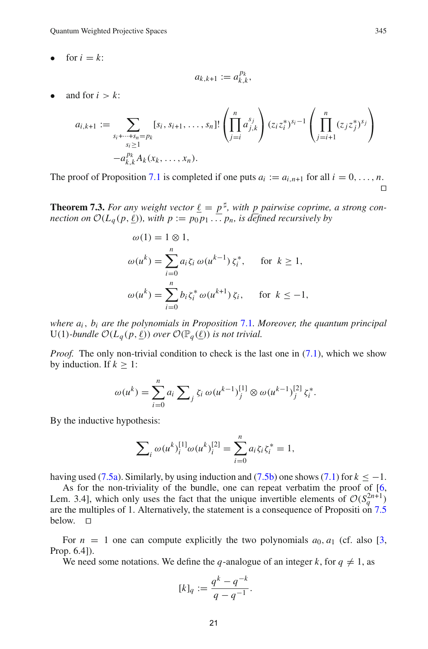$\text{for } i = k$ :

$$
a_{k,k+1} := a_{k,k}^{p_k},
$$

and for  $i > k$ :

$$
a_{i,k+1} := \sum_{\substack{s_i + \dots + s_n = p_k \\ s_i \ge 1}} [s_i, s_{i+1}, \dots, s_n]! \left( \prod_{j=i}^n a_{j,k}^{s_j} \right) (z_i z_i^*)^{s_i-1} \left( \prod_{j=i+1}^n (z_j z_j^*)^{s_j} \right)
$$
  

$$
-a_{k,k}^{pk} A_k(x_k, \dots, x_n).
$$

The proof of Proposition [7.1](#page-18-1) is completed if one puts  $a_i := a_{i,n+1}$  for all  $i = 0, \ldots, n$ .  $\Box$ 

<span id="page-20-0"></span>**Theorem 7.3.** *For any weight vector*  $\underline{\ell} = \underline{p}^{\sharp}$ , with  $\underline{p}$  *pairwise coprime, a strong connection on*  $\mathcal{O}(L_q(p, \underline{\ell}))$ *, with*  $p := p_0 p_1 \dots p_n$ *, is defined recursively by* 

$$
\omega(1) = 1 \otimes 1,
$$
  
\n
$$
\omega(u^k) = \sum_{i=0}^n a_i \zeta_i \omega(u^{k-1}) \zeta_i^*, \quad \text{for } k \ge 1,
$$
  
\n
$$
\omega(u^k) = \sum_{i=0}^n b_i \zeta_i^* \omega(u^{k+1}) \zeta_i, \quad \text{for } k \le -1,
$$

*where ai*, *bi are the polynomials in Proposition* [7.1](#page-18-1)*. Moreover, the quantum principal*  $U(1)$ *-bundle*  $\mathcal{O}(L_q(p, \underline{\ell}))$  *over*  $\mathcal{O}(\mathbb{P}_q(\underline{\ell}))$  *is not trivial.* 

*Proof.* The only non-trivial condition to check is the last one in [\(7.1\)](#page-17-1), which we show by induction. If  $k > 1$ :

$$
\omega(u^{k}) = \sum_{i=0}^{n} a_{i} \sum_{j} \zeta_{i} \omega(u^{k-1})_{j}^{[1]} \otimes \omega(u^{k-1})_{j}^{[2]} \zeta_{i}^{*}.
$$

By the inductive hypothesis:

$$
\sum_{i} \omega(u^{k})_{i}^{[1]} \omega(u^{k})_{i}^{[2]} = \sum_{i=0}^{n} a_{i} \zeta_{i} \zeta_{i}^{*} = 1,
$$

having used [\(7.5a\)](#page-18-2). Similarly, by using induction and [\(7.5b\)](#page-18-4) one shows [\(7.1\)](#page-17-1) for  $k \le -1$ .

As for the non-triviality of the bundle, one can repeat verbatim the proof of  $[6, 6]$  $[6, 6]$ Lem. 3.4], which only uses the fact that the unique invertible elements of  $\mathcal{O}(S_q^{2n+1})$ are the multiples of 1. Alternatively, the statement is a consequence of Propositi on [7.5](#page-21-1) below.  $\square$ 

For  $n = 1$  one can compute explicitly the two polynomials  $a_0, a_1$  (cf. also [\[3,](#page-27-1) Prop. 6.4]).

We need some notations. We define the *q*-analogue of an integer *k*, for  $q \neq 1$ , as

$$
[k]_q := \frac{q^k - q^{-k}}{q - q^{-1}}.
$$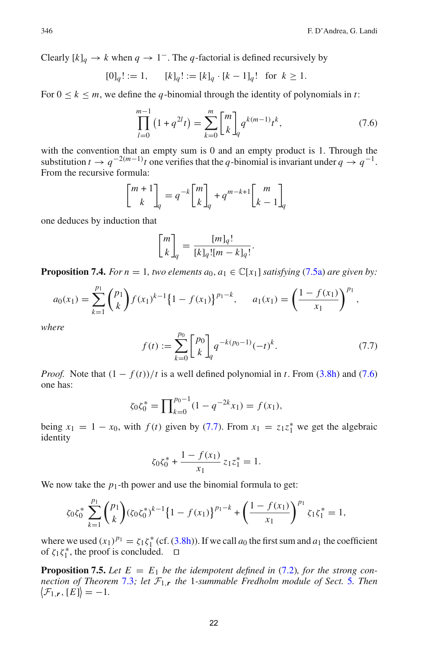Clearly  $[k]_q \rightarrow k$  when  $q \rightarrow 1^-$ . The *q*-factorial is defined recursively by

$$
[0]_q!:=1, \qquad [k]_q!:= [k]_q \cdot [k-1]_q! \ \text{ for } \ k \geq 1.
$$

For  $0 \le k \le m$ , we define the *q*-binomial through the identity of polynomials in *t*:

<span id="page-21-0"></span>
$$
\prod_{l=0}^{m-1} (1+q^{2l}t) = \sum_{k=0}^{m} \begin{bmatrix} m \\ k \end{bmatrix}_q q^{k(m-1)}t^k,
$$
\n(7.6)

with the convention that an empty sum is 0 and an empty product is 1. Through the substitution  $t \to q^{-2(m-1)}t$  one verifies that the *q*-binomial is invariant under  $q \to q^{-1}$ . From the recursive formula:

$$
\begin{bmatrix} m+1 \\ k \end{bmatrix}_q = q^{-k} \begin{bmatrix} m \\ k \end{bmatrix}_q + q^{m-k+1} \begin{bmatrix} m \\ k-1 \end{bmatrix}_q
$$

one deduces by induction that

$$
\begin{bmatrix} m \\ k \end{bmatrix}_q = \frac{[m]_q!}{[k]_q! [m-k]_q!}.
$$

<span id="page-21-3"></span>**Proposition 7.4.** *For n* = 1, *two elements*  $a_0, a_1 \in \mathbb{C}[x_1]$  *satisfying* [\(7.5a\)](#page-18-2) *are given by:* 

$$
a_0(x_1) = \sum_{k=1}^{p_1} {p_1 \choose k} f(x_1)^{k-1} \{1 - f(x_1)\}^{p_1 - k}, \quad a_1(x_1) = \left(\frac{1 - f(x_1)}{x_1}\right)^{p_1},
$$

<span id="page-21-2"></span>*where*

$$
f(t) := \sum_{k=0}^{p_0} \begin{bmatrix} p_0 \\ k \end{bmatrix}_q q^{-k(p_0 - 1)} (-t)^k.
$$
 (7.7)

*Proof.* Note that  $(1 - f(t))/t$  is a well defined polynomial in *t*. From [\(3.8h\)](#page-8-4) and [\(7.6\)](#page-21-0) one has:

$$
\zeta_0 \zeta_0^* = \prod_{k=0}^{p_0 - 1} (1 - q^{-2k} x_1) = f(x_1),
$$

being  $x_1 = 1 - x_0$ , with  $f(t)$  given by [\(7.7\)](#page-21-2). From  $x_1 = z_1 z_1^*$  we get the algebraic identity

$$
\zeta_0 \zeta_0^* + \frac{1 - f(x_1)}{x_1} z_1 z_1^* = 1.
$$

We now take the  $p_1$ -th power and use the binomial formula to get:

$$
\zeta_0 \zeta_0^* \sum_{k=1}^{p_1} \binom{p_1}{k} (\zeta_0 \zeta_0^*)^{k-1} \left\{ 1 - f(x_1) \right\}^{p_1 - k} + \left( \frac{1 - f(x_1)}{x_1} \right)^{p_1} \zeta_1 \zeta_1^* = 1,
$$

where we used  $(x_1)^{p_1} = \zeta_1 \zeta_1^*$  (cf. [\(3.8h\)](#page-8-4)). If we call  $a_0$  the first sum and  $a_1$  the coefficient of  $\zeta_1 \zeta_1^*$ , the proof is concluded.  $\Box$ 

<span id="page-21-1"></span>**Proposition 7.5.** Let  $E = E_1$  be the idempotent defined in [\(7.2\)](#page-17-2)*, for the strong connection of Theorem* [7.3](#page-20-0)*; let F*1,*<sup>r</sup> the* 1*-summable Fredholm module of Sect.* [5](#page-11-0)*. Then*  $\langle \mathcal{F}_{1,r},[E]\rangle = -1.$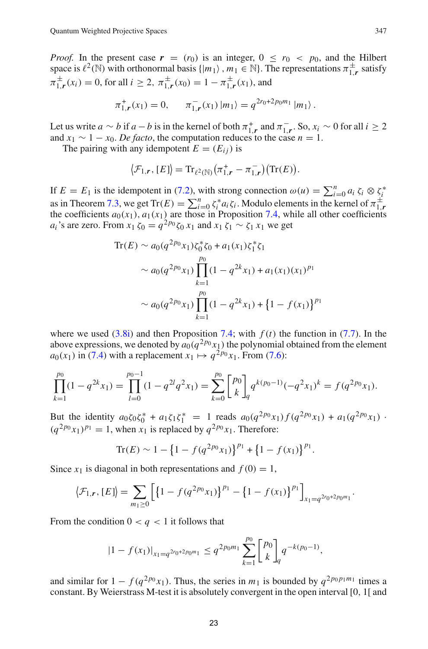*Proof.* In the present case  $r = (r_0)$  is an integer,  $0 \le r_0 \le p_0$ , and the Hilbert space is  $\ell^2(\mathbb{N})$  with orthonormal basis  $\{|m_1\rangle, m_1 \in \mathbb{N}\}$ . The representations  $\pi^{\pm}_{1,r}$  satisfy  $\pi_{1,r}^{\pm}(x_i) = 0$ , for all  $i \geq 2$ ,  $\pi_{1,r}^{\pm}(x_0) = 1 - \pi_{1,r}^{\pm}(x_1)$ , and

$$
\pi^+_{1,r}(x_1) = 0, \qquad \pi^-_{1,r}(x_1) |m_1\rangle = q^{2r_0 + 2p_0 m_1} |m_1\rangle.
$$

Let us write  $a \sim b$  if  $a - b$  is in the kernel of both  $\pi_{1,r}^+$  and  $\pi_{1,r}^-$ . So,  $x_i \sim 0$  for all  $i \ge 2$ and  $x_1 \sim 1 - x_0$ . *De facto*, the computation reduces to the case  $n = 1$ .

The pairing with any idempotent  $E = (E_{ij})$  is

$$
\left\langle \mathcal{F}_{1,\mathbf{r}},\left[E\right]\right\rangle =\mathrm{Tr}_{\ell^2(\mathbb{N})}\left(\pi_{1,\mathbf{r}}^+-\pi_{1,\mathbf{r}}^-\right)\left(\mathrm{Tr}(E)\right).
$$

If  $E = E_1$  is the idempotent in [\(7.2\)](#page-17-2), with strong connection  $\omega(u) = \sum_{i=0}^n a_i \xi_i \otimes \xi_i^*$ as in Theorem [7.3,](#page-20-0) we get  $Tr(E) = \sum_{i=0}^{n} \zeta_i^* a_i \zeta_i$ . Modulo elements in the kernel of  $\pi_{1,r}^{\pm}$ the coefficients  $a_0(x_1)$ ,  $a_1(x_1)$  are those in Proposition [7.4,](#page-21-3) while all other coefficients *a<sub>i</sub>*'s are zero. From *x*<sub>1</sub> ζ<sub>0</sub> =  $q^{2p_0}$ ζ<sub>0</sub> *x*<sub>1</sub> and *x*<sub>1</sub> ζ<sub>1</sub> ∼ ζ<sub>1</sub> *x*<sub>1</sub> we get

Tr(E) ~ 
$$
a_0(q^{2p_0}x_1)\zeta_0^*\zeta_0 + a_1(x_1)\zeta_1^*\zeta_1
$$
  
\n~  $a_0(q^{2p_0}x_1)\prod_{k=1}^{p_0}(1-q^{2k}x_1) + a_1(x_1)(x_1)^{p_1}$   
\n~  $a_0(q^{2p_0}x_1)\prod_{k=1}^{p_0}(1-q^{2k}x_1) + \{1 - f(x_1)\}^{p_1}$ 

where we used  $(3.8i)$  and then Proposition [7.4;](#page-21-3) with  $f(t)$  the function in [\(7.7\)](#page-21-2). In the above expressions, we denoted by  $a_0(q^{2p_0}x_1)$  the polynomial obtained from the element  $a_0(x_1)$  in [\(7.4\)](#page-21-3) with a replacement  $x_1 \mapsto q^{2p_0}x_1$ . From [\(7.6\)](#page-21-0):

$$
\prod_{k=1}^{p_0} (1 - q^{2k} x_1) = \prod_{l=0}^{p_0 - 1} (1 - q^{2l} q^2 x_1) = \sum_{k=0}^{p_0} \binom{p_0}{k}_{\! \! \! q} q^{k(p_0 - 1)} (-q^2 x_1)^k = f(q^{2p_0} x_1).
$$

But the identity  $a_0 \zeta_0 \zeta_0^* + a_1 \zeta_1 \zeta_1^* = 1$  reads  $a_0(q^{2p_0}x_1) f(q^{2p_0}x_1) + a_1(q^{2p_0}x_1)$ .  $(q^{2p_0}x_1)^{p_1} = 1$ , when  $x_1$  is replaced by  $q^{2p_0}x_1$ . Therefore:

$$
\operatorname{Tr}(E) \sim 1 - \left\{ 1 - f(q^{2p_0}x_1) \right\}^{p_1} + \left\{ 1 - f(x_1) \right\}^{p_1}.
$$

Since  $x_1$  is diagonal in both representations and  $f(0) = 1$ ,

$$
\langle \mathcal{F}_{1,r}, [E] \rangle = \sum_{m_1 \ge 0} \left[ \left\{ 1 - f(q^{2p_0} x_1) \right\}^{p_1} - \left\{ 1 - f(x_1) \right\}^{p_1} \right]_{x_1 = q^{2r_0 + 2p_0 m_1}}.
$$

From the condition  $0 < q < 1$  it follows that

$$
|1 - f(x_1)|_{x_1 = q^{2r_0 + 2p_0 m_1}} \le q^{2p_0 m_1} \sum_{k=1}^{p_0} {p_0 \brack k}_q q^{-k(p_0 - 1)},
$$

and similar for  $1 - f(q^{2p_0}x_1)$ . Thus, the series in  $m_1$  is bounded by  $q^{2p_0p_1m_1}$  times a constant. By Weierstrass M-test it is absolutely convergent in the open interval [0, 1[ and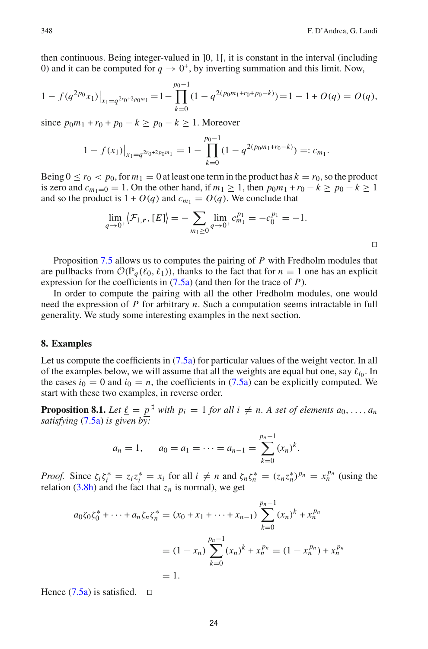then continuous. Being integer-valued in ]0, 1[, it is constant in the interval (including 0) and it can be computed for  $q \to 0^+$ , by inverting summation and this limit. Now,

$$
1 - f(q^{2p_0}x_1)|_{x_1 = q^{2r_0 + 2p_0m_1}} = 1 - \prod_{k=0}^{p_0 - 1} (1 - q^{2(p_0m_1 + r_0 + p_0 - k)}) = 1 - 1 + O(q) = O(q),
$$

since  $p_0m_1 + r_0 + p_0 - k > p_0 - k > 1$ . Moreover

$$
1 - f(x_1)|_{x_1 = q^{2r_0 + 2p_0 m_1}} = 1 - \prod_{k=0}^{p_0 - 1} (1 - q^{2(p_0 m_1 + r_0 - k)}) =: c_{m_1}.
$$

Being  $0 \le r_0 < p_0$ , for  $m_1 = 0$  at least one term in the product has  $k = r_0$ , so the product is zero and  $c_{m_1=0} = 1$ . On the other hand, if  $m_1 \ge 1$ , then  $p_0m_1 + r_0 - k \ge p_0 - k \ge 1$ and so the product is  $1 + O(q)$  and  $c_{m_1} = O(q)$ . We conclude that

$$
\lim_{q \to 0^+} \langle \mathcal{F}_{1,r}, [E] \rangle = - \sum_{m_1 \ge 0} \lim_{q \to 0^+} c_{m_1}^{p_1} = -c_0^{p_1} = -1.
$$

 $\Box$ 

Proposition [7.5](#page-21-1) allows us to computes the pairing of *P* with Fredholm modules that are pullbacks from  $\mathcal{O}(\mathbb{P}_q(\ell_0, \ell_1))$ , thanks to the fact that for  $n = 1$  one has an explicit expression for the coefficients in [\(7.5a\)](#page-18-2) (and then for the trace of *P*).

In order to compute the pairing with all the other Fredholm modules, one would need the expression of *P* for arbitrary *n*. Such a computation seems intractable in full generality. We study some interesting examples in the next section.

#### <span id="page-23-0"></span>**8. Examples**

Let us compute the coefficients in  $(7.5a)$  for particular values of the weight vector. In all of the examples below, we will assume that all the weights are equal but one, say  $\ell_{i_0}$ . In the cases  $i_0 = 0$  and  $i_0 = n$ , the coefficients in [\(7.5a\)](#page-18-2) can be explicitly computed. We start with these two examples, in reverse order.

**Proposition 8.1.** Let  $\underline{\ell} = \underline{p}^{\sharp}$  with  $p_i = 1$  for all  $i \neq n$ . A set of elements  $a_0, \ldots, a_n$ *satisfying* [\(7.5a\)](#page-18-2) *is given by:*

$$
a_n = 1
$$
,  $a_0 = a_1 = \cdots = a_{n-1} = \sum_{k=0}^{p_n-1} (x_n)^k$ .

*Proof.* Since  $\zeta_i \zeta_i^* = z_i z_i^* = x_i$  for all  $i \neq n$  and  $\zeta_n \zeta_n^* = (z_n z_n^*)^{p_n} = x_n^{p_n}$  (using the relation [\(3.8h\)](#page-8-4) and the fact that  $z_n$  is normal), we get

$$
a_0 \zeta_0 \zeta_0^* + \dots + a_n \zeta_n \zeta_n^* = (x_0 + x_1 + \dots + x_{n-1}) \sum_{k=0}^{p_n - 1} (x_n)^k + x_n^{p_n}
$$
  
=  $(1 - x_n) \sum_{k=0}^{p_n - 1} (x_n)^k + x_n^{p_n} = (1 - x_n^{p_n}) + x_n^{p_n}$   
= 1.

Hence  $(7.5a)$  is satisfied.  $\Box$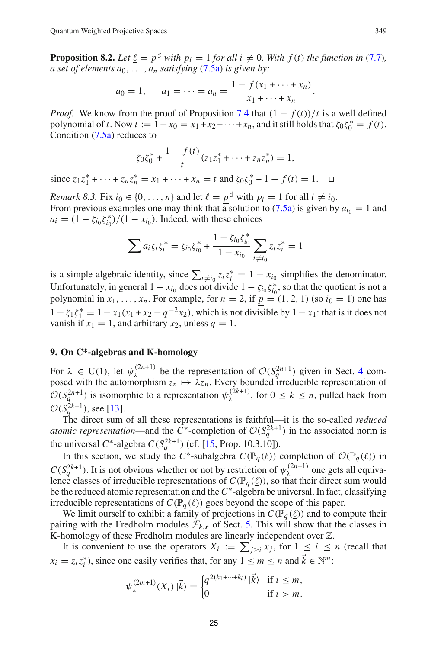**Proposition 8.2.** Let  $\underline{\ell} = \underline{p}^{\sharp}$  with  $p_i = 1$  for all  $i \neq 0$ *. With f* (*t*) *the function in* [\(7.7\)](#page-21-2)*, a set of elements*  $a_0, \ldots, a_n$  *satisfying* [\(7.5a\)](#page-18-2) *is given by:* 

$$
a_0 = 1
$$
,  $a_1 = \cdots = a_n = \frac{1 - f(x_1 + \cdots + x_n)}{x_1 + \cdots + x_n}$ .

*Proof.* We know from the proof of Proposition [7.4](#page-21-3) that  $(1 - f(t))/t$  is a well defined polynomial of *t*. Now  $t := 1 - x_0 = x_1 + x_2 + \cdots + x_n$ , and it still holds that  $\zeta_0 \zeta_0^* = f(t)$ . Condition  $(7.5a)$  reduces to

$$
\zeta_0 \zeta_0^* + \frac{1 - f(t)}{t} (z_1 z_1^* + \dots + z_n z_n^*) = 1,
$$

 $\text{since } z_1 z_1^* + \cdots + z_n z_n^* = x_1 + \cdots + x_n = t \text{ and } \zeta_0 \zeta_0^* + 1 - f(t) = 1. \quad \Box$ 

*Remark 8.3.* Fix  $i_0 \in \{0, \ldots, n\}$  and let  $\underline{\ell} = \underline{p}^{\sharp}$  with  $p_i = 1$  for all  $i \neq i_0$ . From previous examples one may think that  $a$  solution to [\(7.5a\)](#page-18-2) is given by  $a_{i_0} = 1$  and  $a_i = (1 - \zeta_{i_0} \zeta_{i_0}^*)/(1 - x_{i_0})$ . Indeed, with these choices

$$
\sum a_i \zeta_i \zeta_i^* = \zeta_{i_0} \zeta_{i_0}^* + \frac{1 - \zeta_{i_0} \zeta_{i_0}^*}{1 - x_{i_0}} \sum_{i \neq i_0} z_i z_i^* = 1
$$

is a simple algebraic identity, since  $\sum_{i \neq i_0} z_i z_i^* = 1 - x_{i_0}$  simplifies the denominator. Unfortunately, in general  $1 - x_{i_0}$  does not divide  $1 - \zeta_{i_0} \zeta_{i_0}^*$ , so that the quotient is not a polynomial in  $x_1, \ldots, x_n$ . For example, for  $n = 2$ , if  $p = (1, 2, 1)$  (so  $i_0 = 1$ ) one has  $1 - \zeta_1 \zeta_1^* = 1 - x_1(x_1 + x_2 - q^{-2}x_2)$ , which is not divisible by  $1 - x_1$ : that is it does not vanish if  $x_1 = 1$ , and arbitrary  $x_2$ , unless  $q = 1$ .

#### <span id="page-24-0"></span>**9. On C\*-algebras and K-homology**

For  $\lambda \in U(1)$ , let  $\psi_{\lambda}^{(2n+1)}$  be the representation of  $\mathcal{O}(S_q^{2n+1})$  given in Sect. [4](#page-10-0) composed with the automorphism  $z_n \mapsto \lambda z_n$ . Every bounded irreducible representation of  $\mathcal{O}(S_q^{2n+1})$  is isomorphic to a representation  $\psi_{\lambda}^{(2k+1)}$ , for  $0 \le k \le n$ , pulled back from  $\mathcal{O}(S_q^{2k+1})$ , see [\[13\]](#page-27-5).

The direct sum of all these representations is faithful—it is the so-called *reduced atomic representation*—and the  $C^*$ -completion of  $\mathcal{O}(S_q^{2k+1})$  in the associated norm is the universal *C*<sup>\*</sup>-algebra  $C(S_q^{2k+1})$  (cf. [\[15,](#page-28-4) Prop. 10.3.10]).

In this section, we study the *C*<sup>∗</sup>-subalgebra  $C(\mathbb{P}_q(\underline{\ell}))$  completion of  $O(\mathbb{P}_q(\underline{\ell}))$  in  $C(S_q^{2k+1})$ . It is not obvious whether or not by restriction of  $\psi_{\lambda}^{(2n+1)}$  one gets all equivalence classes of irreducible representations of  $C(\mathbb{P}_q(\underline{\ell}))$ , so that their direct sum would be the reduced atomic representation and the *C*∗-algebra be universal. In fact, classifying irreducible representations of  $C(\mathbb{P}_q(\underline{\ell}))$  goes beyond the scope of this paper.

We limit ourself to exhibit a family of projections in  $C(\mathbb{P}_q(\underline{\ell}))$  and to compute their pairing with the Fredholm modules  $\mathcal{F}_{k,r}$  of Sect. [5.](#page-11-0) This will show that the classes in K-homology of these Fredholm modules are linearly independent over Z.

It is convenient to use the operators  $X_i := \sum_{j \geq i} x_j$ , for  $1 \leq i \leq n$  (recall that  $x_i = z_i z_i^*$ ), since one easily verifies that, for any  $1 \le m \le n$  and  $\vec{k} \in \mathbb{N}^m$ :

$$
\psi_{\lambda}^{(2m+1)}(X_i) \, |\vec{k}\rangle = \begin{cases} q^{2(k_1 + \cdots + k_i)} \, |\vec{k}\rangle & \text{if } i \le m, \\ 0 & \text{if } i > m. \end{cases}
$$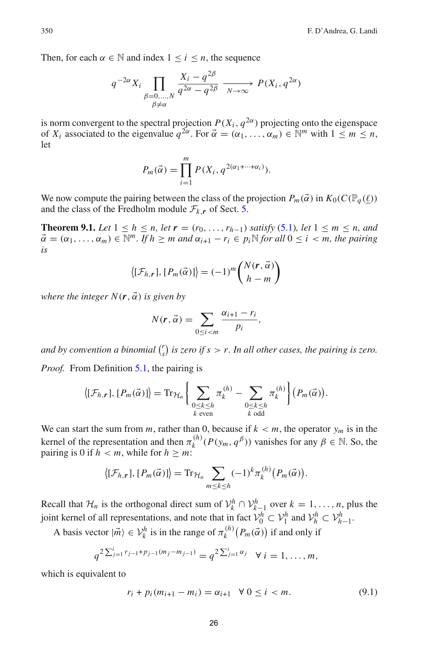Then, for each  $\alpha \in \mathbb{N}$  and index  $1 \leq i \leq n$ , the sequence

$$
q^{-2\alpha} X_i \prod_{\substack{\beta=0,\dots,N \\ \beta \neq \alpha}} \frac{X_i - q^{2\beta}}{q^{2\alpha} - q^{2\beta}} \xrightarrow[N \to \infty]{} P(X_i, q^{2\alpha})
$$

is norm convergent to the spectral projection  $P(X_i, q^{2\alpha})$  projecting onto the eigenspace of *X<sub>i</sub>* associated to the eigenvalue  $q^{2\alpha}$ . For  $\vec{\alpha} = (\alpha_1, \ldots, \alpha_m) \in \mathbb{N}^m$  with  $1 \leq m \leq n$ , let

$$
P_m(\vec{\alpha}) = \prod_{i=1}^m P(X_i, q^{2(\alpha_1 + \cdots + \alpha_i)}).
$$

We now compute the pairing between the class of the projection  $P_m(\vec{\alpha})$  in  $K_0(C(\mathbb{P}_q(\underline{\ell}))$ and the class of the Fredholm module  $\mathcal{F}_{k,r}$  of Sect. [5.](#page-11-0)

<span id="page-25-1"></span>**Theorem 9.1.** *Let* 1 ≤ *h* ≤ *n*, *let*  $r = (r_0, ..., r_{h-1})$  *satisfy* [\(5.1\)](#page-11-3)*, let* 1 ≤ *m* ≤ *n, and*  $\vec{\alpha} = (\alpha_1, \ldots, \alpha_m) \in \mathbb{N}^m$ . If  $h \geq m$  and  $\alpha_{i+1} - r_i \in p_i \mathbb{N}$  for all  $0 \leq i < m$ , the pairing *is*

$$
\langle [\mathcal{F}_{h,\mathbf{r}}], [P_m(\vec{\alpha})] \rangle = (-1)^m \binom{N(\mathbf{r}, \vec{\alpha})}{h - m}
$$

*where the integer*  $N(r, \vec{\alpha})$  *is given by* 

$$
N(r, \vec{\alpha}) = \sum_{0 \le i < m} \frac{\alpha_{i+1} - r_i}{p_i},
$$

*and by convention a binomial*  $\binom{r}{s}$  $\int_{s}^{r}$ ) is zero if  $s > r$ . In all other cases, the pairing is zero. *Proof.* From Definition [5.1,](#page-11-2) the pairing is

$$
\langle [\mathcal{F}_{h,r}], [P_m(\vec{\alpha})] \rangle = \mathrm{Tr}_{\mathcal{H}_n} \bigg\{ \sum_{\substack{0 \le k \le h \\ k \text{ even}}} \pi_k^{(h)} - \sum_{\substack{0 \le k \le h \\ k \text{ odd}}} \pi_k^{(h)} \bigg\} \big( P_m(\vec{\alpha}) \big).
$$

We can start the sum from *m*, rather than 0, because if  $k < m$ , the operator  $y_m$  is in the kernel of the representation and then  $\pi_k^{(h)}(P(y_m, q^{\beta}))$  vanishes for any  $\beta \in \mathbb{N}$ . So, the pairing is 0 if  $h < m$ , while for  $h > m$ .

$$
\langle [\mathcal{F}_{h,r}], [P_m(\vec{\alpha})] \rangle = \text{Tr}_{\mathcal{H}_n} \sum_{m \leq k \leq h} (-1)^k \pi_k^{(h)} (P_m(\vec{\alpha})).
$$

Recall that  $\mathcal{H}_n$  is the orthogonal direct sum of  $\mathcal{V}_k^h \cap \mathcal{V}_{k-1}^h$  over  $k = 1, \ldots, n$ , plus the joint kernel of all representations, and note that in fact  $\mathcal{V}_0^h \subset \mathcal{V}_1^h$  and  $\mathcal{V}_h^h \subset \mathcal{V}_{h-1}^h$ .

A basis vector  $|\vec{m}\rangle \in \mathcal{V}_k^h$  is in the range of  $\pi_k^{(h)}(P_m(\vec{\alpha}))$  if and only if

$$
q^{2\sum_{j=1}^{i}r_{j-1}+p_{j-1}(m_j-m_{j-1})}=q^{2\sum_{j=1}^{i}\alpha_j}\quad\forall\ i=1,\ldots,m,
$$

<span id="page-25-0"></span>which is equivalent to

$$
r_i + p_i(m_{i+1} - m_i) = \alpha_{i+1} \quad \forall \ 0 \le i < m. \tag{9.1}
$$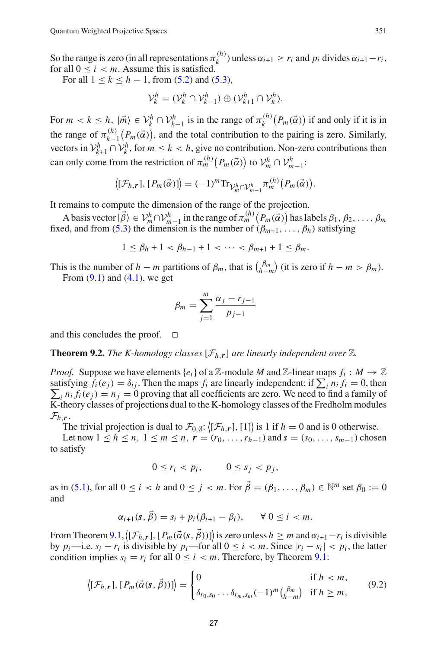So the range is zero (in all representations  $\pi_k^{(h)}$ ) unless  $\alpha_{i+1} \ge r_i$  and  $p_i$  divides  $\alpha_{i+1} - r_i$ , for all  $0 \le i \le m$ . Assume this is satisfied.

For all  $1 \le k \le h - 1$ , from [\(5.2\)](#page-12-4) and [\(5.3\)](#page-12-1),

$$
\mathcal{V}_k^h = (\mathcal{V}_k^h \cap \mathcal{V}_{k-1}^h) \oplus (\mathcal{V}_{k+1}^h \cap \mathcal{V}_k^h).
$$

For  $m < k \leq h$ ,  $|\vec{m}\rangle \in \mathcal{V}_k^h \cap \mathcal{V}_{k-1}^h$  is in the range of  $\pi_k^{(h)}(P_m(\vec{\alpha}))$  if and only if it is in the range of  $\pi_{k-1}^{(h)}(P_m(\vec{\alpha}))$ , and the total contribution to the pairing is zero. Similarly, vectors in  $V_{k+1}^h \cap V_k^h$ , for  $m \le k < h$ , give no contribution. Non-zero contributions then can only come from the restriction of  $\pi_m^{(h)}(P_m(\vec{\alpha}))$  to  $\mathcal{V}_m^h \cap \mathcal{V}_{m-1}^h$ :

$$
\langle [\mathcal{F}_{h,r}], [P_m(\vec{\alpha})] \rangle = (-1)^m \text{Tr}_{\mathcal{V}_m^h \cap \mathcal{V}_{m-1}^h} \pi_m^{(h)}(P_m(\vec{\alpha})).
$$

It remains to compute the dimension of the range of the projection.

A basis vector  $|\vec{\beta}\rangle \in \mathcal{V}_m^h \cap \mathcal{V}_{m-1}^h$  in the range of  $\pi_m^{(h)}(P_m(\vec{\alpha}))$  has labels  $\beta_1, \beta_2, \ldots, \beta_m$ fixed, and from [\(5.3\)](#page-12-1) the dimension is the number of  $(\beta_{m+1}, \ldots, \beta_h)$  satisfying

 $1 < \beta_h + 1 < \beta_{h-1} + 1 < \cdots < \beta_{m+1} + 1 < \beta_m$ .

This is the number of *h* − *m* partitions of  $\beta_m$ , that is  $\binom{\beta_m}{h-m}$  (it is zero if *h* − *m* >  $\beta_m$ ). From  $(9.1)$  and  $(4.1)$ , we get

$$
\beta_m = \sum_{j=1}^m \frac{\alpha_j - r_{j-1}}{p_{j-1}}
$$

and this concludes the proof.  $\square$ 

**Theorem 9.2.** *The K-homology classes*  $[\mathcal{F}_{h,r}]$  *are linearly independent over*  $\mathbb{Z}$ *.* 

*Proof.* Suppose we have elements  $\{e_i\}$  of a Z-module *M* and Z-linear maps  $f_i : M \to \mathbb{Z}$ satisfying  $f_i(e_j) = \delta_{ij}$ . Then the maps  $f_i$  are linearly independent: if  $\sum_i n_i f_i = 0$ , then  $\sum_i n_i f_i(e_j) = n_j = 0$  proving that all coefficients are zero. We need to find a family of K-theory classes of projections dual to the K-homology classes of the Fredholm modules  $\mathcal{F}_{h,r}$ .

The trivial projection is dual to  $\mathcal{F}_{0,\emptyset}$ :  $\langle [\mathcal{F}_{h,r}], [1] \rangle$  is 1 if  $h = 0$  and is 0 otherwise. Let now  $1 \le h \le n$ ,  $1 \le m \le n$ ,  $r = (r_0, \ldots, r_{h-1})$  and  $s = (s_0, \ldots, s_{m-1})$  chosen to satisfy

<span id="page-26-0"></span> $0 \leq r_i < p_i, \qquad 0 \leq s_j < p_j,$ 

as in [\(5.1\)](#page-11-3), for all  $0 \le i < h$  and  $0 \le j < m$ . For  $\vec{\beta} = (\beta_1, \dots, \beta_m) \in \mathbb{N}^m$  set  $\beta_0 := 0$ and

$$
\alpha_{i+1}(s,\beta)=s_i+p_i(\beta_{i+1}-\beta_i),\qquad\forall\ 0\leq i
$$

From Theorem [9.1,](#page-25-1)  $[(\mathcal{F}_{h,r}], [P_m(\vec{\alpha}(s, \vec{\beta}))]]$  is zero unless  $h \geq m$  and  $\alpha_{i+1} - r_i$  is divisible by *p<sub>i</sub>*—i.e. *s<sub>i</sub>* − *r<sub>i</sub>* is divisible by *p<sub>i</sub>*—for all  $0 \le i < m$ . Since  $|r_i - s_i| < p_i$ , the latter condition implies  $s_i = r_i$  for all  $0 \le i \le m$ . Therefore, by Theorem [9.1:](#page-25-1)

$$
\langle [\mathcal{F}_{h,r}], [P_m(\vec{\alpha}(s,\vec{\beta}))] \rangle = \begin{cases} 0 & \text{if } h < m, \\ \delta_{r_0,s_0} \dots \delta_{r_m,s_m} (-1)^m {(\beta_m \choose h-m)} & \text{if } h \ge m, \end{cases}
$$
(9.2)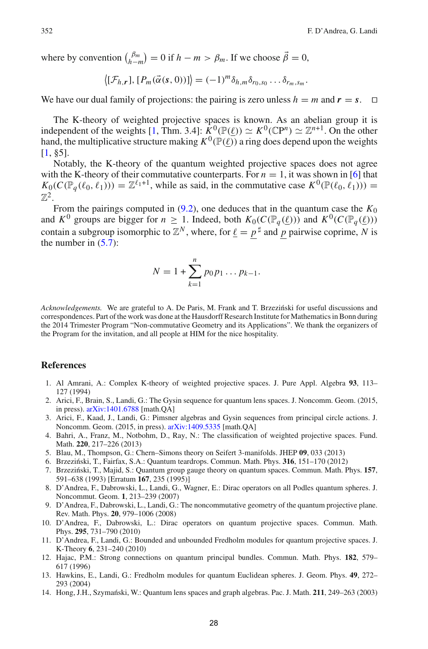where by convention  $\binom{\beta_m}{h-m} = 0$  if  $h - m > \beta_m$ . If we choose  $\vec{\beta} = 0$ ,

$$
\langle [\mathcal{F}_{h,\mathbf{r}}], [P_m(\vec{\alpha}(s,0))] \rangle = (-1)^m \delta_{h,m} \delta_{r_0,s_0} \dots \delta_{r_m,s_m}.
$$

We have our dual family of projections: the pairing is zero unless  $h = m$  and  $r = s$ .

The K-theory of weighted projective spaces is known. As an abelian group it is independent of the weights [\[1,](#page-27-13) Thm. 3.4]:  $\hat{K}^0(\mathbb{P}(\ell)) \simeq K^0(\mathbb{C}P^n) \simeq \mathbb{Z}^{n+1}$ . On the other hand, the multiplicative structure making  $K^0(\mathbb{P}(\underline{\ell}))$  a ring does depend upon the weights [\[1](#page-27-13), §5].

Notably, the K-theory of the quantum weighted projective spaces does not agree with the K-theory of their commutative counterparts. For  $n = 1$ , it was shown in [\[6\]](#page-27-0) that  $K_0(C(\mathbb{P}_q(\ell_0, \ell_1))) = \mathbb{Z}^{\ell_1+1}$ , while as said, in the commutative case  $K^0(\mathbb{P}(\ell_0, \ell_1)) =$  $\mathbb{Z}^2$ 

From the pairings computed in  $(9.2)$ , one deduces that in the quantum case the  $K_0$ and  $K^0$  groups are bigger for  $n \geq 1$ . Indeed, both  $K_0(C(\mathbb{P}_q(\underline{\ell})))$  and  $K^0(C(\mathbb{P}_q(\underline{\ell})))$ contain a subgroup isomorphic to  $\mathbb{Z}^N$ , where, for  $\underline{\ell} = \underline{p}^{\sharp}$  and  $\underline{p}$  pairwise coprime, *N* is the number in  $(5.7)$ :

$$
N = 1 + \sum_{k=1}^{n} p_0 p_1 \dots p_{k-1}.
$$

*Acknowledgements.* We are grateful to A. De Paris, M. Frank and T. Brzeziński for useful discussions and correspondences. Part of the work was done at the Hausdorff Research Institute for Mathematics in Bonn during the 2014 Trimester Program "Non-commutative Geometry and its Applications". We thank the organizers of the Program for the invitation, and all people at HIM for the nice hospitality.

#### <span id="page-27-13"></span>**References**

- 1. Al Amrani, A.: Complex K-theory of weighted projective spaces. J. Pure Appl. Algebra **93**, 113– 127 (1994)
- <span id="page-27-11"></span>2. Arici, F., Brain, S., Landi, G.: The Gysin sequence for quantum lens spaces. J. Noncomm. Geom. (2015, in press). [arXiv:1401.6788](http://arxiv.org/abs/1401.6788) [math.QA]
- <span id="page-27-1"></span>3. Arici, F., Kaad, J., Landi, G.: Pimsner algebras and Gysin sequences from principal circle actions. J. Noncomm. Geom. (2015, in press). [arXiv:1409.5335](http://arxiv.org/abs/1409.5335) [math.QA]
- <span id="page-27-4"></span>4. Bahri, A., Franz, M., Notbohm, D., Ray, N.: The classification of weighted projective spaces. Fund. Math. **220**, 217–226 (2013)
- <span id="page-27-3"></span>5. Blau, M., Thompson, G.: Chern–Simons theory on Seifert 3-manifolds. JHEP **09**, 033 (2013)
- <span id="page-27-0"></span>6. Brzeziński, T., Fairfax, S.A.: Quantum teardrops. Commun. Math. Phys. 316, 151–170 (2012)
- <span id="page-27-10"></span>7. Brzeziński, T., Majid, S.: Quantum group gauge theory on quantum spaces. Commun. Math. Phys. 157, 591–638 (1993) [Erratum **167**, 235 (1995)]
- <span id="page-27-7"></span>8. D'Andrea, F., Dabrowski, L., Landi, G., Wagner, E.: Dirac operators on all Podles quantum spheres. J. Noncommut. Geom. **1**, 213–239 (2007)
- 9. D'Andrea, F., Dabrowski, L., Landi, G.: The noncommutative geometry of the quantum projective plane. Rev. Math. Phys. **20**, 979–1006 (2008)
- <span id="page-27-9"></span><span id="page-27-8"></span>10. D'Andrea, F., Dabrowski, L.: Dirac operators on quantum projective spaces. Commun. Math. Phys. **295**, 731–790 (2010)
- <span id="page-27-2"></span>11. D'Andrea, F., Landi, G.: Bounded and unbounded Fredholm modules for quantum projective spaces. J. K-Theory **6**, 231–240 (2010)
- <span id="page-27-12"></span>12. Hajac, P.M.: Strong connections on quantum principal bundles. Commun. Math. Phys. **182**, 579– 617 (1996)
- <span id="page-27-5"></span>13. Hawkins, E., Landi, G.: Fredholm modules for quantum Euclidean spheres. J. Geom. Phys. **49**, 272– 293 (2004)
- <span id="page-27-6"></span>14. Hong, J.H., Szymański, W.: Quantum lens spaces and graph algebras. Pac. J. Math. 211, 249–263 (2003)